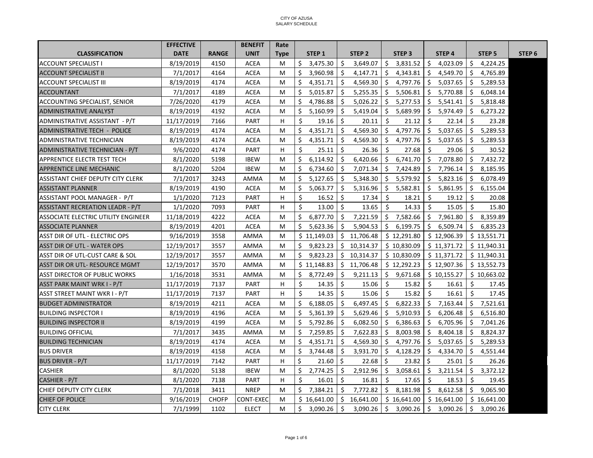## CITY OF AZUSA SALARY SCHEDULE

|                                            | <b>EFFECTIVE</b> |              | <b>BENEFIT</b> | Rate        |    |                   |    |                   |     |                   |     |                   |     |                   |                   |
|--------------------------------------------|------------------|--------------|----------------|-------------|----|-------------------|----|-------------------|-----|-------------------|-----|-------------------|-----|-------------------|-------------------|
| <b>CLASSIFICATION</b>                      | <b>DATE</b>      | <b>RANGE</b> | <b>UNIT</b>    | <b>Type</b> |    | STEP <sub>1</sub> |    | STEP <sub>2</sub> |     | STEP <sub>3</sub> |     | STEP <sub>4</sub> |     | STEP <sub>5</sub> | STEP <sub>6</sub> |
| <b>ACCOUNT SPECIALIST I</b>                | 8/19/2019        | 4150         | <b>ACEA</b>    | M           | \$ | 3,475.30          | Ŝ. | 3,649.07          | Ŝ.  | 3,831.52          | Ŝ.  | 4,023.09          | Ś.  | 4,224.25          |                   |
| <b>ACCOUNT SPECIALIST II</b>               | 7/1/2017         | 4164         | <b>ACEA</b>    | M           | \$ | 3,960.98          | Ŝ. | 4,147.71          | Ŝ.  | 4,343.81          | Ŝ.  | 4,549.70          | \$  | 4,765.89          |                   |
| <b>ACCOUNT SPECIALIST III</b>              | 8/19/2019        | 4174         | <b>ACEA</b>    | M           | \$ | 4,351.71          | Ś. | 4,569.30          | Ŝ.  | 4,797.76          | \$  | 5,037.65          | Ŝ.  | 5,289.53          |                   |
| <b>ACCOUNTANT</b>                          | 7/1/2017         | 4189         | <b>ACEA</b>    | M           | \$ | 5,015.87          | Ś. | 5,255.35          | \$  | 5,506.81          | Ŝ.  | 5,770.88          | \$  | 6,048.14          |                   |
| <b>ACCOUNTING SPECIALIST, SENIOR</b>       | 7/26/2020        | 4179         | <b>ACEA</b>    | M           | \$ | 4,786.88          | Ś. | 5,026.22          | Ŝ.  | 5,277.53          | Ŝ.  | 5,541.41          | Ŝ.  | 5,818.48          |                   |
| <b>ADMINISTRATIVE ANALYST</b>              | 8/19/2019        | 4192         | <b>ACEA</b>    | M           | \$ | 5,160.99          | \$ | 5,419.04          | \$  | 5,689.99          | \$. | 5,974.49          | \$. | 6,273.22          |                   |
| ADMINISTRATIVE ASSISTANT - P/T             | 11/17/2019       | 7166         | <b>PART</b>    | н           | Ś. | 19.16             | Ŝ. | 20.11             | Ŝ.  | 21.12             | Ŝ.  | 22.14             | Ś.  | 23.28             |                   |
| ADMINISTRATIVE TECH - POLICE               | 8/19/2019        | 4174         | <b>ACEA</b>    | M           | \$ | 4,351.71          | Ŝ. | 4,569.30          | \$  | 4,797.76          | \$  | 5,037.65          | \$  | 5,289.53          |                   |
| ADMINISTRATIVE TECHNICIAN                  | 8/19/2019        | 4174         | <b>ACEA</b>    | M           | Ŝ. | 4,351.71          | Ś. | 4,569.30          | \$  | 4,797.76          | \$  | 5,037.65          | Ŝ.  | 5,289.53          |                   |
| ADMINISTRATIVE TECHNICIAN - P/T            | 9/6/2020         | 4174         | <b>PART</b>    | н           | Ś  | 25.11             | Ŝ. | 26.36             | \$  | 27.68             | \$  | 29.06             | Ś.  | 30.52             |                   |
| <b>APPRENTICE ELECTR TEST TECH</b>         | 8/1/2020         | 5198         | <b>IBEW</b>    | M           | \$ | 6,114.92          | Ŝ. | 6,420.66          | Ŝ.  | 6,741.70          | \$  | 7,078.80          | Ŝ.  | 7,432.72          |                   |
| APPRENTICE LINE MECHANIC                   | 8/1/2020         | 5204         | <b>IBEW</b>    | M           | \$ | 6,734.60          | Ŝ. | 7,071.34          | Ŝ.  | 7,424.89          | -S  | 7,796.14          | \$  | 8,185.95          |                   |
| ASSISTANT CHIEF DEPUTY CITY CLERK          | 7/1/2017         | 3243         | AMMA           | M           | Ŝ. | 5,127.65          | Ŝ. | 5,348.30          | Ŝ.  | 5,579.92          | Ŝ.  | 5,823.16          | Ŝ.  | 6,078.49          |                   |
| <b>ASSISTANT PLANNER</b>                   | 8/19/2019        | 4190         | <b>ACEA</b>    | M           | \$ | 5,063.77          | Ŝ. | 5,316.96          | Ŝ.  | 5,582.81          | Ŝ.  | 5,861.95          | \$  | 6,155.04          |                   |
| ASSISTANT POOL MANAGER - P/T               | 1/1/2020         | 7123         | PART           | н           | \$ | 16.52             | Ŝ. | 17.34             | Ŝ.  | 18.21             | Ŝ.  | 19.12             | \$  | 20.08             |                   |
| <b>ASSISTANT RECREATION LEADR - P/T</b>    | 1/1/2020         | 7093         | <b>PART</b>    | н           | \$ | 13.00             | Ŝ. | 13.65             | \$  | 14.33             | Ŝ.  | 15.05             | \$  | 15.80             |                   |
| <b>ASSOCIATE ELECTRIC UTILITY ENGINEER</b> | 11/18/2019       | 4222         | <b>ACEA</b>    | M           | \$ | 6,877.70          | Ŝ. | 7,221.59          | Ŝ.  | 7,582.66          | \$  | 7,961.80          | \$  | 8,359.89          |                   |
| <b>ASSOCIATE PLANNER</b>                   | 8/19/2019        | 4201         | <b>ACEA</b>    | M           | \$ | 5,623.36          | Ŝ. | 5,904.53          | \$  | 6,199.75          | \$. | 6,509.74          | \$  | 6,835.23          |                   |
| ASST DIR OF UTL - ELECTRIC OPS             | 9/16/2019        | 3558         | AMMA           | M           |    | \$11,149.03       |    | \$11,706.48       |     | \$12,291.80       |     | \$12,906.39       |     | \$13,551.71       |                   |
| <b>ASST DIR OF UTL - WATER OPS</b>         | 12/19/2017       | 3557         | AMMA           | M           | \$ | 9,823.23          |    | \$10,314.37       |     | \$10,830.09       |     | \$11,371.72       |     | \$11,940.31       |                   |
| ASST DIR OF UTL-CUST CARE & SOL            | 12/19/2017       | 3557         | AMMA           | M           | \$ | 9,823.23          |    | \$10,314.37       |     | \$10,830.09       |     | \$11,371.72       |     | \$11,940.31       |                   |
| ASST DIR OR UTL- RESOURCE MGMT             | 12/19/2017       | 3570         | AMMA           | M           |    | \$11,148.83       |    | \$11,706.48       |     | \$12,292.23       |     | \$12,907.36       |     | \$13,552.73       |                   |
| <b>ASST DIRECTOR OF PUBLIC WORKS</b>       | 1/16/2018        | 3531         | <b>AMMA</b>    | M           | \$ | 8,772.49          | Ŝ. | 9,211.13          | \$  | 9,671.68          |     | \$10,155.27       |     | \$10,663.02       |                   |
| ASST PARK MAINT WRK I - P/T                | 11/17/2019       | 7137         | <b>PART</b>    | н           | \$ | 14.35             | Ŝ. | 15.06             | Ŝ.  | 15.82             | Ŝ.  | 16.61             | Ŝ.  | 17.45             |                   |
| ASST STREET MAINT WKR I - P/T              | 11/17/2019       | 7137         | PART           | н           | \$ | 14.35             | Ŝ. | 15.06             | Ŝ.  | 15.82             | Ś.  | 16.61             | Ś.  | 17.45             |                   |
| <b>BUDGET ADMINISTRATOR</b>                | 8/19/2019        | 4211         | <b>ACEA</b>    | M           | \$ | 6,188.05          | Ŝ. | 6,497.45          | Ŝ.  | 6,822.33          | \$  | 7,163.44          | S.  | 7,521.61          |                   |
| <b>BUILDING INSPECTOR I</b>                | 8/19/2019        | 4196         | <b>ACEA</b>    | M           | Ŝ. | 5,361.39          | Ŝ. | 5,629.46          | Ŝ.  | 5,910.93          | Ŝ.  | 6,206.48          | Ŝ.  | 6,516.80          |                   |
| <b>BUILDING INSPECTOR II</b>               | 8/19/2019        | 4199         | <b>ACEA</b>    | M           | \$ | 5,792.86          | Ŝ. | 6,082.50          | \$  | 6,386.63          | \$  | 6,705.96          | \$  | 7,041.26          |                   |
| <b>BUILDING OFFICIAL</b>                   | 7/1/2017         | 3435         | AMMA           | M           | Ś. | 7,259.85          | Ś. | 7,622.83          | Ŝ   | 8,003.98          | Ŝ.  | 8,404.18          | Ŝ.  | 8,824.37          |                   |
| <b>BUILDING TECHNICIAN</b>                 | 8/19/2019        | 4174         | <b>ACEA</b>    | M           | \$ | 4,351.71          | Ŝ. | 4,569.30          | -\$ | 4,797.76          | \$  | 5,037.65          | Ŝ.  | 5,289.53          |                   |
| <b>BUS DRIVER</b>                          | 8/19/2019        | 4158         | <b>ACEA</b>    | M           | \$ | 3,744.48          | Ŝ. | 3,931.70          | Ŝ.  | 4,128.29          | \$. | 4,334.70          | Ŝ.  | 4,551.44          |                   |
| <b>BUS DRIVER - P/T</b>                    | 11/17/2019       | 7142         | <b>PART</b>    | н           | \$ | 21.60             | \$ | 22.68             | Ŝ.  | 23.82             | \$  | 25.01             | Ŝ.  | 26.26             |                   |
| <b>CASHIER</b>                             | 8/1/2020         | 5138         | <b>IBEW</b>    | M           | \$ | 2,774.25          | Ś. | 2,912.96          | \$  | 3,058.61          | Ŝ.  | 3,211.54          | Ś.  | 3,372.12          |                   |
| CASHIER - P/T                              | 8/1/2020         | 7138         | PART           | н           | Ś. | 16.01             | Ŝ. | 16.81             | Ŝ.  | 17.65             | Ŝ.  | 18.53             | Ś.  | 19.45             |                   |
| CHIEF DEPUTY CITY CLERK                    | 7/1/2018         | 3411         | <b>NREP</b>    | M           | Ś. | 7,384.21          | Ŝ. | 7,772.82          | Ŝ.  | 8,181.98          | \$  | 8,612.58          | Ŝ.  | 9,065.90          |                   |
| <b>CHIEF OF POLICE</b>                     | 9/16/2019        | <b>CHOFP</b> | CONT-EXEC      | M           |    | \$16,641.00       |    | \$16,641.00       |     | \$16,641.00       |     | \$16,641.00       |     | \$16,641.00       |                   |
| <b>CITY CLERK</b>                          | 7/1/1999         | 1102         | <b>ELECT</b>   | M           | Ŝ. | 3,090.26          | Ŝ. | 3,090.26          | Ŝ.  | 3,090.26          | \$  | 3,090.26          | Ŝ.  | 3,090.26          |                   |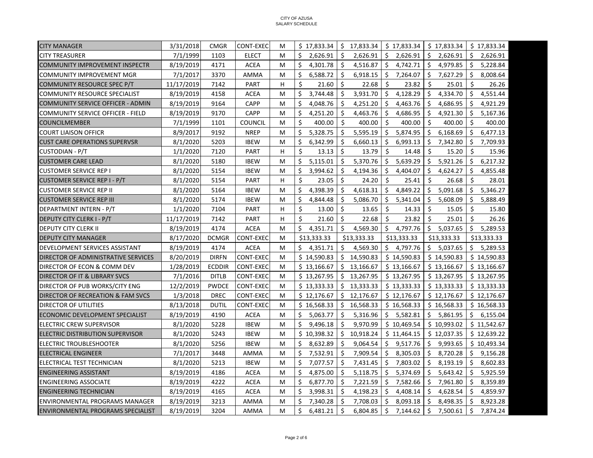| <b>CITY MANAGER</b>                      | 3/31/2018  | <b>CMGR</b>   | CONT-EXEC        | M | $$17,833.34$ $$17,833.34$ |     |             |         | $$17,833.34$ $$17,833.34$ |                     |             |    | \$17,833.34 |
|------------------------------------------|------------|---------------|------------------|---|---------------------------|-----|-------------|---------|---------------------------|---------------------|-------------|----|-------------|
| <b>CITY TREASURER</b>                    | 7/1/1999   | 1103          | <b>ELECT</b>     | M | \$<br>2,626.91            | \$  | 2,626.91    |         | \$2,626.91                |                     | \$2,626.91  |    | \$2,626.91  |
| <b>COMMUNITY IMPROVEMENT INSPECTR</b>    | 8/19/2019  | 4171          | <b>ACEA</b>      | M | \$<br>4,301.78            | Ŝ.  | 4,516.87    |         | \$4,742.71                | $\ddot{\mathsf{s}}$ | 4,979.85    | \$ | 5,228.84    |
| <b>COMMUNITY IMPROVEMENT MGR</b>         | 7/1/2017   | 3370          | AMMA             | M | \$<br>6,588.72            | Ŝ.  | 6,918.15    | \$      | 7,264.07                  | \$                  | 7,627.29    | \$ | 8,008.64    |
| COMMUNITY RESOURCE SPEC P/T              | 11/17/2019 | 7142          | PART             | H | \$<br>21.60               | Ŝ.  | 22.68       | Ŝ.      | 23.82                     | \$                  | 25.01       | Ŝ. | 26.26       |
| <b>COMMUNITY RESOURCE SPECIALIST</b>     | 8/19/2019  | 4158          | <b>ACEA</b>      | M | \$<br>3,744.48            | \$  | 3,931.70    | \$      | 4,128.29                  | \$                  | 4,334.70    | \$ | 4,551.44    |
| COMMUNITY SERVICE OFFICER - ADMIN        | 8/19/2019  | 9164          | <b>CAPP</b>      | M | \$<br>4,048.76            | -\$ | 4,251.20    | \$      | 4,463.76                  | \$                  | 4,686.95    | \$ | 4,921.29    |
| <b>COMMUNITY SERVICE OFFICER - FIELD</b> | 8/19/2019  | 9170          | <b>CAPP</b>      | M | Ś.<br>4,251.20            | Ŝ.  | 4,463.76    | Ŝ.      | 4,686.95                  | \$                  | 4,921.30    | Ŝ. | 5,167.36    |
| <b>COUNCILMEMBER</b>                     | 7/1/1999   | 1101          | <b>COUNCIL</b>   | M | Ś.<br>400.00              | Ŝ.  | 400.00      | Ŝ.      | 400.00                    | Ŝ.                  | 400.00      | Ŝ. | 400.00      |
| <b>COURT LIAISON OFFICR</b>              | 8/9/2017   | 9192          | <b>NREP</b>      | M | Ś.<br>5,328.75            | Ŝ.  | 5,595.19    | Ŝ.      | 5,874.95                  | S.                  | 6,168.69    | Ŝ. | 6,477.13    |
| <b>CUST CARE OPERATIONS SUPERVSR</b>     | 8/1/2020   | 5203          | <b>IBEW</b>      | м | \$<br>6,342.99            | \$  | 6,660.13    | \$      | 6,993.13                  | \$                  | 7,342.80    | \$ | 7,709.93    |
| CUSTODIAN - P/T                          | 1/1/2020   | 7120          | PART             | H | \$<br>13.13               | Ŝ.  | 13.79       | Ŝ.      | 14.48                     | S.                  | 15.20       | \$ | 15.96       |
| ICUSTOMER CARE LEAD                      | 8/1/2020   | 5180          | <b>IBEW</b>      | M | Ŝ.<br>5,115.01            | Ŝ.  | 5,370.76    |         | \$5,639.29                | - \$                | 5,921.26    | Ŝ. | 6,217.32    |
| <b>CUSTOMER SERVICE REP I</b>            | 8/1/2020   | 5154          | <b>IBEW</b>      | M | \$<br>3,994.62            | \$  | 4,194.36    | \$      | 4,404.07                  | \$                  | 4,624.27    | \$ | 4,855.48    |
| <b>CUSTOMER SERVICE REP I - P/T</b>      | 8/1/2020   | 5154          | <b>PART</b>      | H | Ŝ.<br>23.05               | Ŝ.  | 24.20       | Ŝ.      | 25.41                     | -Ś                  | 26.68       | Ŝ. | 28.01       |
| <b>CUSTOMER SERVICE REP II</b>           | 8/1/2020   | 5164          | <b>IBEW</b>      | М | \$<br>4,398.39            | \$  | 4,618.31    | S.      | 4,849.22                  | \$                  | 5,091.68    | \$ | 5,346.27    |
| <b>CUSTOMER SERVICE REP III</b>          | 8/1/2020   | 5174          | <b>IBEW</b>      | М | \$<br>4,844.48            | \$  | 5,086.70    | \$      | 5,341.04                  | \$                  | 5,608.09    | \$ | 5,888.49    |
| DEPARTMENT INTERN - P/T                  | 1/1/2020   | 7104          | <b>PART</b>      | H | \$<br>13.00               | Ŝ.  | 13.65       | Ś.      | 14.33                     | S.                  | 15.05       | \$ | 15.80       |
| <b>DEPUTY CITY CLERK I - P/T</b>         | 11/17/2019 | 7142          | <b>PART</b>      | н | Ŝ.<br>21.60               | Ŝ.  | 22.68       | Ŝ.      | 23.82                     | -\$                 | 25.01       | Ŝ. | 26.26       |
| DEPUTY CITY CLERK II                     | 8/19/2019  | 4174          | <b>ACEA</b>      | M | Ś.<br>4,351.71            | Ŝ.  | 4,569.30    |         | \$4,797.76                |                     | \$5,037.65  | Ŝ. | 5,289.53    |
| <b>DEPUTY CITY MANAGER</b>               | 8/17/2020  | <b>DCMGR</b>  | CONT-EXEC        | M | \$13,333.33               |     | \$13,333.33 |         | \$13,333.33               |                     | \$13,333.33 |    | \$13,333.33 |
| DEVELOPMENT SERVICES ASSISTANT           | 8/19/2019  | 4174          | <b>ACEA</b>      | M | \$4,351.71                | \$  | 4,569.30    |         | \$4,797.76                |                     | \$5,037.65  |    | \$5,289.53  |
| DIRECTOR OF ADMINISTRATIVE SERVICES      | 8/20/2019  | <b>DIRFN</b>  | <b>CONT-EXEC</b> | M | \$14,590.83               |     | \$14,590.83 |         | \$14,590.83               |                     | \$14,590.83 |    | \$14,590.83 |
| DIRECTOR OF ECON & COMM DEV              | 1/28/2019  | <b>ECDDIR</b> | <b>CONT-EXEC</b> | M | \$13,166.67               |     | \$13,166.67 |         | \$13,166.67               |                     | \$13,166.67 |    | \$13,166.67 |
| DIRECTOR OF IT & LIBRARY SVCS            | 7/1/2016   | <b>DITLB</b>  | CONT-EXEC        | M | \$13,267.95               |     | \$13,267.95 |         | $$13,267.95$ $$13,267.95$ |                     |             |    | \$13,267.95 |
| DIRECTOR OF PUB WORKS/CITY ENG           | 12/2/2019  | <b>PWDCE</b>  | CONT-EXEC        | M | \$13,333.33               |     | \$13,333.33 |         | $$13,333.33$ $$13,333.33$ |                     |             |    | \$13,333.33 |
| DIRECTOR OF RECREATION & FAM SVCS        | 1/3/2018   | <b>DREC</b>   | CONT-EXEC        | м | \$12,176.67               |     | \$12,176.67 |         | \$12,176.67               |                     | \$12,176.67 |    | \$12,176.67 |
| DIRECTOR OF UTILITIES                    | 8/13/2018  | <b>DUTIL</b>  | <b>CONT-EXEC</b> | M | \$16,568.33               |     | \$16,568.33 |         | \$16,568.33               |                     | \$16,568.33 |    | \$16,568.33 |
| ECONOMIC DEVELOPMENT SPECIALIST          | 8/19/2019  | 4190          | <b>ACEA</b>      | M | \$<br>5,063.77            | \$  | 5,316.96    |         | \$5,582.81                |                     | \$5,861.95  |    | \$6,155.04  |
| ELECTRIC CREW SUPERVISOR                 | 8/1/2020   | 5228          | <b>IBEW</b>      | M | Ś.<br>9,496.18            | Ŝ.  | 9,970.99    |         | \$10,469.54               |                     | \$10,993.02 |    | \$11,542.67 |
| ELECTRIC DISTRIBUTION SUPERVISOR         | 8/1/2020   | 5243          | <b>IBEW</b>      | M | \$10,398.32               | \$  | 10,918.24   |         | \$11,464.15               |                     | \$12,037.35 |    | \$12,639.22 |
| <b>ELECTRIC TROUBLESHOOTER</b>           | 8/1/2020   | 5256          | <b>IBEW</b>      | M | Ś.<br>8,632.89            | -Ś  | 9,064.54    |         | \$9,517.76                | \$                  | 9,993.65    |    | \$10,493.34 |
| ELECTRICAL ENGINEER                      | 7/1/2017   | 3448          | <b>AMMA</b>      | M | Ś.<br>7,532.91            | Ŝ.  | 7,909.54    | Ŝ.      | 8,305.03                  | S.                  | 8,720.28    | Ŝ. | 9,156.28    |
| ELECTRICAL TEST TECHNICIAN               | 8/1/2020   | 5213          | <b>IBEW</b>      | М | \$<br>7,077.57            | Ŝ.  | 7,431.45    | \$      | 7,803.02                  | \$                  | 8,193.19    | S. | 8,602.83    |
| ENGINEERING ASSISTANT                    | 8/19/2019  | 4186          | <b>ACEA</b>      | M | Ś.<br>4,875.00            | Ŝ.  | 5,118.75    | Ŝ.      | 5,374.69                  | Ŝ.                  | 5,643.42    | S. | 5,925.59    |
| <b>ENGINEERING ASSOCIATE</b>             | 8/19/2019  | 4222          | <b>ACEA</b>      | M | Ś.<br>6,877.70            | -\$ | 7,221.59    | Ŝ.      | 7,582.66                  | Ŝ.                  | 7,961.80    | Ŝ. | 8,359.89    |
| <b>ENGINEERING TECHNICIAN</b>            | 8/19/2019  | 4165          | ACEA             | M | \$<br>3,998.31            | -\$ | 4,198.23    | Ŝ.      | 4,408.14                  | -\$                 | 4,628.54    | S. | 4,859.97    |
| <b>ENVIRONMENTAL PROGRAMS MANAGER</b>    | 8/19/2019  | 3213          | AMMA             | M | \$<br>7,340.28            | Ŝ.  | 7,708.03    | \$      | $8,093.18$ \$             |                     | 8,498.35    | \$ | 8,923.28    |
| <b>ENVIRONMENTAL PROGRAMS SPECIALIST</b> | 8/19/2019  | 3204          | AMMA             | M | \$<br>6,481.21            | \$  | 6,804.85    | $\zeta$ | $7,144.62$ \$             |                     | 7,500.61    | \$ | 7,874.24    |

Page 2 of 6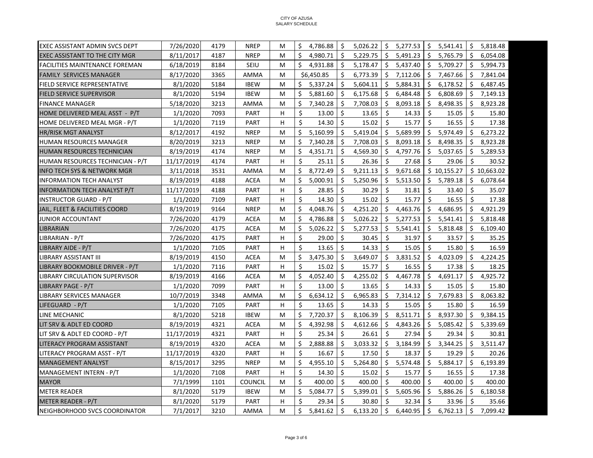| 7/26/2020<br>4179<br><b>NREP</b><br>Ŝ.<br>4,786.88<br>Ŝ.<br>5,026.22<br>Ŝ.<br>5,277.53<br>l \$<br>5,541.41<br>Ŝ.<br>EXEC ASSISTANT ADMIN SVCS DEPT<br>M<br>\$<br>4187<br><b>NREP</b><br>4,980.71<br>\$<br>5,491.23<br>\$<br>5,765.79<br>8/11/2017<br>M<br>\$.<br>5,229.75<br>\$.<br>EXEC ASSISTANT TO THE CITY MGR<br>Ŝ.<br>Ŝ.<br>6/18/2019<br>8184<br>SEIU<br>4,931.88<br>Ŝ.<br>5,178.47<br>Ŝ.<br>5,437.40<br>5,709.27<br><b>FACILITIES MAINTENANCE FOREMAN</b><br>M<br>Ŝ.<br>\$<br>8/17/2020<br>Ŝ.<br>Ŝ.<br>3365<br>AMMA<br>M<br>\$6,450.85<br>6,773.39<br>7,112.06<br>7,467.66<br>\$.<br><b>FAMILY SERVICES MANAGER</b><br>Ŝ.<br>Ŝ.<br><b>FIELD SERVICE REPRESENTATIVE</b><br>8/1/2020<br>5184<br><b>IBEW</b><br>5,337.24<br>Ŝ.<br>5,604.11<br>Ŝ.<br>5,884.31<br>6,178.52<br>Ŝ.<br>M<br>\$<br>\$<br>8/1/2020<br>5194<br><b>IBEW</b><br>5,881.60<br>\$<br>6,175.68<br>\$<br>6,484.48<br>6,808.69<br><b>FIELD SERVICE SUPERVISOR</b><br>M<br>\$.<br>\$<br>\$<br>5/18/2020<br>3213<br>7,340.28<br>\$<br>7,708.03<br>\$<br>8,093.18<br>8,498.35<br>\$<br><b>FINANCE MANAGER</b><br>AMMA<br>M<br>\$<br>7093<br>Ŝ.<br>14.33<br>\$<br>\$<br>HOME DELIVERED MEAL ASST - P/T<br>1/1/2020<br><b>PART</b><br>н<br>13.00<br>13.65<br>\$.<br>15.05<br>Ś.<br>Ŝ.<br>Ŝ.<br>Ŝ.<br>Ŝ.<br>HOME DELIVERED MEAL MGR - P/T<br>1/1/2020<br>7119<br><b>PART</b><br>н<br>14.30<br>15.02<br>15.77<br>16.55<br>8/12/2017<br>4192<br>\$<br>5,160.99<br>\$<br>5,419.04<br>Ŝ.<br>5,689.99<br>\$<br>5,974.49<br>\$<br>HR/RISK MGT ANALYST<br><b>NREP</b><br>M<br>\$<br>\$<br>7,340.28<br>7,708.03<br>\$<br>8,093.18<br>8,498.35<br><b>HUMAN RESOURCES MANAGER</b><br>8/20/2019<br>3213<br><b>NREP</b><br>\$.<br>\$<br>м<br>\$<br>\$<br>8/19/2019<br>4174<br><b>NREP</b><br>\$<br>\$<br>4,797.76<br>5,037.65<br>\$<br>M<br>4,351.71<br>4,569.30<br>HUMAN RESOURCES TECHNICIAN<br>\$<br>Ŝ.<br>Ŝ.<br>Ŝ.<br>Ŝ.<br>HUMAN RESOURCES TECHNICIAN - P/T<br>11/17/2019<br>4174<br><b>PART</b><br>н<br>25.11<br>26.36<br>27.68<br>29.06<br>\$<br>Ŝ.<br>3/11/2018<br>8,772.49<br>Ŝ.<br>9,211.13<br>9,671.68<br>\$10,155.27<br>INFO TECH SYS & NETWORK MGR<br>3531<br>AMMA<br>M<br>\$<br>\$<br><b>INFORMATION TECH ANALYST</b><br>8/19/2019<br>4188<br><b>ACEA</b><br>5,000.91<br>Ŝ.<br>5,250.96<br>Ŝ.<br>5,513.50<br>5,789.18<br>M<br>Ŝ.<br>\$<br>\$<br>\$<br>4188<br><b>PART</b><br>H<br>28.85<br>30.29<br>\$<br>31.81<br>\$<br><b>INFORMATION TECH ANALYST P/T</b><br>11/17/2019<br>33.40<br>Ś.<br>Ŝ.<br>Ś.<br>15.02<br>Ŝ.<br>15.77<br>Ŝ.<br><b>INSTRUCTOR GUARD - P/T</b><br>1/1/2020<br>7109<br><b>PART</b><br>н<br>14.30<br>16.55<br>\$<br>4,048.76<br>\$<br>4,251.20<br>Ŝ.<br>4,463.76<br>\$<br>4,686.95<br>\$<br>8/19/2019<br>9164<br><b>NREP</b><br>JAIL, FLEET & FACILITIES COORD<br>M<br>7/26/2020<br>4179<br>Ŝ.<br>4,786.88<br>\$<br>5,026.22<br>\$<br>5,277.53<br>Ŝ.<br>5,541.41<br>\$<br><b>JUNIOR ACCOUNTANT</b><br><b>ACEA</b><br>M<br>\$<br><b>ACEA</b><br>\$<br><b>LIBRARIAN</b><br>7/26/2020<br>4175<br>5,026.22<br>S.<br>5,277.53<br>\$.<br>5,541.41<br>5,818.48<br>\$<br>M<br>\$<br>\$<br>Ś.<br>\$<br><b>PART</b><br>29.00<br>31.97<br>\$<br>LIBRARIAN - P/T<br>7/26/2020<br>4175<br>н<br>30.45<br>33.57<br>\$<br>Ś.<br>Ŝ.<br>Ś.<br>Ś.<br>LIBRARY AIDE - P/T<br>1/1/2020<br>7105<br><b>PART</b><br>н<br>13.65<br>14.33<br>15.05<br>15.80<br>\$<br>\$<br>8/19/2019<br>3,475.30<br>\$<br>3,649.07<br>Ŝ.<br>3,831.52<br>\$<br>4,023.09<br>4150<br><b>ACEA</b><br>LIBRARY ASSISTANT III<br>M<br>\$<br>\$<br>1/1/2020<br><b>PART</b><br>15.02<br>Ŝ.<br>15.77<br>Ŝ.<br>16.55<br>Ŝ.<br>LIBRARY BOOKMOBILE DRIVER - P/T<br>7116<br>н<br>17.38<br>\$<br>4,052.40<br>\$<br>4,255.02<br>\$<br>4,467.78<br>\$<br>4,691.17<br>\$<br>LIBRARY CIRCULATION SUPERVISOR<br>8/19/2019<br>4166<br>ACEA<br>м<br>\$<br>7099<br>Ś.<br>\$<br>\$<br>\$<br>LIBRARY PAGE - P/T<br>1/1/2020<br><b>PART</b><br>13.00<br>13.65<br>14.33<br>15.05<br>H<br>\$<br>\$<br>\$<br>\$<br>\$<br>10/7/2019<br>6,634.12<br>6,965.83<br>7,314.12<br>7,679.83<br>LIBRARY SERVICES MANAGER<br>3348<br>AMMA<br>м<br>Ś.<br>Ŝ.<br>7105<br>\$<br>\$<br>15.05<br>Ŝ.<br>LIFEGUARD - P/T<br>1/1/2020<br><b>PART</b><br>н<br>13.65<br>14.33<br>15.80<br>\$<br>\$<br>7,720.37<br>\$<br>8,511.71<br>8,937.30<br>\$<br>LINE MECHANIC<br>8/1/2020<br>5218<br><b>IBEW</b><br>\$.<br>8,106.39<br>M<br>\$<br>4321<br><b>ACEA</b><br>4,392.98<br>\$<br>\$<br>4,843.26<br>\$<br>5,085.42<br>8/19/2019<br>M<br>4,612.66<br>\$<br>LIT SRV & ADLT ED COORD |                               |            |      |             |   |             |    |       |    |       |    |       |    |             |
|------------------------------------------------------------------------------------------------------------------------------------------------------------------------------------------------------------------------------------------------------------------------------------------------------------------------------------------------------------------------------------------------------------------------------------------------------------------------------------------------------------------------------------------------------------------------------------------------------------------------------------------------------------------------------------------------------------------------------------------------------------------------------------------------------------------------------------------------------------------------------------------------------------------------------------------------------------------------------------------------------------------------------------------------------------------------------------------------------------------------------------------------------------------------------------------------------------------------------------------------------------------------------------------------------------------------------------------------------------------------------------------------------------------------------------------------------------------------------------------------------------------------------------------------------------------------------------------------------------------------------------------------------------------------------------------------------------------------------------------------------------------------------------------------------------------------------------------------------------------------------------------------------------------------------------------------------------------------------------------------------------------------------------------------------------------------------------------------------------------------------------------------------------------------------------------------------------------------------------------------------------------------------------------------------------------------------------------------------------------------------------------------------------------------------------------------------------------------------------------------------------------------------------------------------------------------------------------------------------------------------------------------------------------------------------------------------------------------------------------------------------------------------------------------------------------------------------------------------------------------------------------------------------------------------------------------------------------------------------------------------------------------------------------------------------------------------------------------------------------------------------------------------------------------------------------------------------------------------------------------------------------------------------------------------------------------------------------------------------------------------------------------------------------------------------------------------------------------------------------------------------------------------------------------------------------------------------------------------------------------------------------------------------------------------------------------------------------------------------------------------------------------------------------------------------------------------------------------------------------------------------------------------------------------------------------------------------------------------------------------------------------------------------------------------------------------------------------------------------------------------------------------------------------------------------------------------------------------------------------------------------------------------------------------------------------------------------------------------------------------------------------------------------------------------------------------------------------------|-------------------------------|------------|------|-------------|---|-------------|----|-------|----|-------|----|-------|----|-------------|
|                                                                                                                                                                                                                                                                                                                                                                                                                                                                                                                                                                                                                                                                                                                                                                                                                                                                                                                                                                                                                                                                                                                                                                                                                                                                                                                                                                                                                                                                                                                                                                                                                                                                                                                                                                                                                                                                                                                                                                                                                                                                                                                                                                                                                                                                                                                                                                                                                                                                                                                                                                                                                                                                                                                                                                                                                                                                                                                                                                                                                                                                                                                                                                                                                                                                                                                                                                                                                                                                                                                                                                                                                                                                                                                                                                                                                                                                                                                                                                                                                                                                                                                                                                                                                                                                                                                                                                                                                                                                        |                               |            |      |             |   |             |    |       |    |       |    |       |    | 5,818.48    |
|                                                                                                                                                                                                                                                                                                                                                                                                                                                                                                                                                                                                                                                                                                                                                                                                                                                                                                                                                                                                                                                                                                                                                                                                                                                                                                                                                                                                                                                                                                                                                                                                                                                                                                                                                                                                                                                                                                                                                                                                                                                                                                                                                                                                                                                                                                                                                                                                                                                                                                                                                                                                                                                                                                                                                                                                                                                                                                                                                                                                                                                                                                                                                                                                                                                                                                                                                                                                                                                                                                                                                                                                                                                                                                                                                                                                                                                                                                                                                                                                                                                                                                                                                                                                                                                                                                                                                                                                                                                                        |                               |            |      |             |   |             |    |       |    |       |    |       |    | 6,054.08    |
|                                                                                                                                                                                                                                                                                                                                                                                                                                                                                                                                                                                                                                                                                                                                                                                                                                                                                                                                                                                                                                                                                                                                                                                                                                                                                                                                                                                                                                                                                                                                                                                                                                                                                                                                                                                                                                                                                                                                                                                                                                                                                                                                                                                                                                                                                                                                                                                                                                                                                                                                                                                                                                                                                                                                                                                                                                                                                                                                                                                                                                                                                                                                                                                                                                                                                                                                                                                                                                                                                                                                                                                                                                                                                                                                                                                                                                                                                                                                                                                                                                                                                                                                                                                                                                                                                                                                                                                                                                                                        |                               |            |      |             |   |             |    |       |    |       |    |       |    | 5,994.73    |
|                                                                                                                                                                                                                                                                                                                                                                                                                                                                                                                                                                                                                                                                                                                                                                                                                                                                                                                                                                                                                                                                                                                                                                                                                                                                                                                                                                                                                                                                                                                                                                                                                                                                                                                                                                                                                                                                                                                                                                                                                                                                                                                                                                                                                                                                                                                                                                                                                                                                                                                                                                                                                                                                                                                                                                                                                                                                                                                                                                                                                                                                                                                                                                                                                                                                                                                                                                                                                                                                                                                                                                                                                                                                                                                                                                                                                                                                                                                                                                                                                                                                                                                                                                                                                                                                                                                                                                                                                                                                        |                               |            |      |             |   |             |    |       |    |       |    |       |    | 7,841.04    |
|                                                                                                                                                                                                                                                                                                                                                                                                                                                                                                                                                                                                                                                                                                                                                                                                                                                                                                                                                                                                                                                                                                                                                                                                                                                                                                                                                                                                                                                                                                                                                                                                                                                                                                                                                                                                                                                                                                                                                                                                                                                                                                                                                                                                                                                                                                                                                                                                                                                                                                                                                                                                                                                                                                                                                                                                                                                                                                                                                                                                                                                                                                                                                                                                                                                                                                                                                                                                                                                                                                                                                                                                                                                                                                                                                                                                                                                                                                                                                                                                                                                                                                                                                                                                                                                                                                                                                                                                                                                                        |                               |            |      |             |   |             |    |       |    |       |    |       |    | 6,487.45    |
|                                                                                                                                                                                                                                                                                                                                                                                                                                                                                                                                                                                                                                                                                                                                                                                                                                                                                                                                                                                                                                                                                                                                                                                                                                                                                                                                                                                                                                                                                                                                                                                                                                                                                                                                                                                                                                                                                                                                                                                                                                                                                                                                                                                                                                                                                                                                                                                                                                                                                                                                                                                                                                                                                                                                                                                                                                                                                                                                                                                                                                                                                                                                                                                                                                                                                                                                                                                                                                                                                                                                                                                                                                                                                                                                                                                                                                                                                                                                                                                                                                                                                                                                                                                                                                                                                                                                                                                                                                                                        |                               |            |      |             |   |             |    |       |    |       |    |       |    | 7,149.13    |
|                                                                                                                                                                                                                                                                                                                                                                                                                                                                                                                                                                                                                                                                                                                                                                                                                                                                                                                                                                                                                                                                                                                                                                                                                                                                                                                                                                                                                                                                                                                                                                                                                                                                                                                                                                                                                                                                                                                                                                                                                                                                                                                                                                                                                                                                                                                                                                                                                                                                                                                                                                                                                                                                                                                                                                                                                                                                                                                                                                                                                                                                                                                                                                                                                                                                                                                                                                                                                                                                                                                                                                                                                                                                                                                                                                                                                                                                                                                                                                                                                                                                                                                                                                                                                                                                                                                                                                                                                                                                        |                               |            |      |             |   |             |    |       |    |       |    |       |    | 8,923.28    |
|                                                                                                                                                                                                                                                                                                                                                                                                                                                                                                                                                                                                                                                                                                                                                                                                                                                                                                                                                                                                                                                                                                                                                                                                                                                                                                                                                                                                                                                                                                                                                                                                                                                                                                                                                                                                                                                                                                                                                                                                                                                                                                                                                                                                                                                                                                                                                                                                                                                                                                                                                                                                                                                                                                                                                                                                                                                                                                                                                                                                                                                                                                                                                                                                                                                                                                                                                                                                                                                                                                                                                                                                                                                                                                                                                                                                                                                                                                                                                                                                                                                                                                                                                                                                                                                                                                                                                                                                                                                                        |                               |            |      |             |   |             |    |       |    |       |    |       |    | 15.80       |
|                                                                                                                                                                                                                                                                                                                                                                                                                                                                                                                                                                                                                                                                                                                                                                                                                                                                                                                                                                                                                                                                                                                                                                                                                                                                                                                                                                                                                                                                                                                                                                                                                                                                                                                                                                                                                                                                                                                                                                                                                                                                                                                                                                                                                                                                                                                                                                                                                                                                                                                                                                                                                                                                                                                                                                                                                                                                                                                                                                                                                                                                                                                                                                                                                                                                                                                                                                                                                                                                                                                                                                                                                                                                                                                                                                                                                                                                                                                                                                                                                                                                                                                                                                                                                                                                                                                                                                                                                                                                        |                               |            |      |             |   |             |    |       |    |       |    |       |    | 17.38       |
|                                                                                                                                                                                                                                                                                                                                                                                                                                                                                                                                                                                                                                                                                                                                                                                                                                                                                                                                                                                                                                                                                                                                                                                                                                                                                                                                                                                                                                                                                                                                                                                                                                                                                                                                                                                                                                                                                                                                                                                                                                                                                                                                                                                                                                                                                                                                                                                                                                                                                                                                                                                                                                                                                                                                                                                                                                                                                                                                                                                                                                                                                                                                                                                                                                                                                                                                                                                                                                                                                                                                                                                                                                                                                                                                                                                                                                                                                                                                                                                                                                                                                                                                                                                                                                                                                                                                                                                                                                                                        |                               |            |      |             |   |             |    |       |    |       |    |       |    | 6,273.22    |
|                                                                                                                                                                                                                                                                                                                                                                                                                                                                                                                                                                                                                                                                                                                                                                                                                                                                                                                                                                                                                                                                                                                                                                                                                                                                                                                                                                                                                                                                                                                                                                                                                                                                                                                                                                                                                                                                                                                                                                                                                                                                                                                                                                                                                                                                                                                                                                                                                                                                                                                                                                                                                                                                                                                                                                                                                                                                                                                                                                                                                                                                                                                                                                                                                                                                                                                                                                                                                                                                                                                                                                                                                                                                                                                                                                                                                                                                                                                                                                                                                                                                                                                                                                                                                                                                                                                                                                                                                                                                        |                               |            |      |             |   |             |    |       |    |       |    |       |    | 8,923.28    |
|                                                                                                                                                                                                                                                                                                                                                                                                                                                                                                                                                                                                                                                                                                                                                                                                                                                                                                                                                                                                                                                                                                                                                                                                                                                                                                                                                                                                                                                                                                                                                                                                                                                                                                                                                                                                                                                                                                                                                                                                                                                                                                                                                                                                                                                                                                                                                                                                                                                                                                                                                                                                                                                                                                                                                                                                                                                                                                                                                                                                                                                                                                                                                                                                                                                                                                                                                                                                                                                                                                                                                                                                                                                                                                                                                                                                                                                                                                                                                                                                                                                                                                                                                                                                                                                                                                                                                                                                                                                                        |                               |            |      |             |   |             |    |       |    |       |    |       |    | 5,289.53    |
|                                                                                                                                                                                                                                                                                                                                                                                                                                                                                                                                                                                                                                                                                                                                                                                                                                                                                                                                                                                                                                                                                                                                                                                                                                                                                                                                                                                                                                                                                                                                                                                                                                                                                                                                                                                                                                                                                                                                                                                                                                                                                                                                                                                                                                                                                                                                                                                                                                                                                                                                                                                                                                                                                                                                                                                                                                                                                                                                                                                                                                                                                                                                                                                                                                                                                                                                                                                                                                                                                                                                                                                                                                                                                                                                                                                                                                                                                                                                                                                                                                                                                                                                                                                                                                                                                                                                                                                                                                                                        |                               |            |      |             |   |             |    |       |    |       |    |       |    | 30.52       |
|                                                                                                                                                                                                                                                                                                                                                                                                                                                                                                                                                                                                                                                                                                                                                                                                                                                                                                                                                                                                                                                                                                                                                                                                                                                                                                                                                                                                                                                                                                                                                                                                                                                                                                                                                                                                                                                                                                                                                                                                                                                                                                                                                                                                                                                                                                                                                                                                                                                                                                                                                                                                                                                                                                                                                                                                                                                                                                                                                                                                                                                                                                                                                                                                                                                                                                                                                                                                                                                                                                                                                                                                                                                                                                                                                                                                                                                                                                                                                                                                                                                                                                                                                                                                                                                                                                                                                                                                                                                                        |                               |            |      |             |   |             |    |       |    |       |    |       |    | \$10,663.02 |
|                                                                                                                                                                                                                                                                                                                                                                                                                                                                                                                                                                                                                                                                                                                                                                                                                                                                                                                                                                                                                                                                                                                                                                                                                                                                                                                                                                                                                                                                                                                                                                                                                                                                                                                                                                                                                                                                                                                                                                                                                                                                                                                                                                                                                                                                                                                                                                                                                                                                                                                                                                                                                                                                                                                                                                                                                                                                                                                                                                                                                                                                                                                                                                                                                                                                                                                                                                                                                                                                                                                                                                                                                                                                                                                                                                                                                                                                                                                                                                                                                                                                                                                                                                                                                                                                                                                                                                                                                                                                        |                               |            |      |             |   |             |    |       |    |       |    |       |    | 6,078.64    |
|                                                                                                                                                                                                                                                                                                                                                                                                                                                                                                                                                                                                                                                                                                                                                                                                                                                                                                                                                                                                                                                                                                                                                                                                                                                                                                                                                                                                                                                                                                                                                                                                                                                                                                                                                                                                                                                                                                                                                                                                                                                                                                                                                                                                                                                                                                                                                                                                                                                                                                                                                                                                                                                                                                                                                                                                                                                                                                                                                                                                                                                                                                                                                                                                                                                                                                                                                                                                                                                                                                                                                                                                                                                                                                                                                                                                                                                                                                                                                                                                                                                                                                                                                                                                                                                                                                                                                                                                                                                                        |                               |            |      |             |   |             |    |       |    |       |    |       |    | 35.07       |
|                                                                                                                                                                                                                                                                                                                                                                                                                                                                                                                                                                                                                                                                                                                                                                                                                                                                                                                                                                                                                                                                                                                                                                                                                                                                                                                                                                                                                                                                                                                                                                                                                                                                                                                                                                                                                                                                                                                                                                                                                                                                                                                                                                                                                                                                                                                                                                                                                                                                                                                                                                                                                                                                                                                                                                                                                                                                                                                                                                                                                                                                                                                                                                                                                                                                                                                                                                                                                                                                                                                                                                                                                                                                                                                                                                                                                                                                                                                                                                                                                                                                                                                                                                                                                                                                                                                                                                                                                                                                        |                               |            |      |             |   |             |    |       |    |       |    |       |    | 17.38       |
|                                                                                                                                                                                                                                                                                                                                                                                                                                                                                                                                                                                                                                                                                                                                                                                                                                                                                                                                                                                                                                                                                                                                                                                                                                                                                                                                                                                                                                                                                                                                                                                                                                                                                                                                                                                                                                                                                                                                                                                                                                                                                                                                                                                                                                                                                                                                                                                                                                                                                                                                                                                                                                                                                                                                                                                                                                                                                                                                                                                                                                                                                                                                                                                                                                                                                                                                                                                                                                                                                                                                                                                                                                                                                                                                                                                                                                                                                                                                                                                                                                                                                                                                                                                                                                                                                                                                                                                                                                                                        |                               |            |      |             |   |             |    |       |    |       |    |       |    | 4,921.29    |
|                                                                                                                                                                                                                                                                                                                                                                                                                                                                                                                                                                                                                                                                                                                                                                                                                                                                                                                                                                                                                                                                                                                                                                                                                                                                                                                                                                                                                                                                                                                                                                                                                                                                                                                                                                                                                                                                                                                                                                                                                                                                                                                                                                                                                                                                                                                                                                                                                                                                                                                                                                                                                                                                                                                                                                                                                                                                                                                                                                                                                                                                                                                                                                                                                                                                                                                                                                                                                                                                                                                                                                                                                                                                                                                                                                                                                                                                                                                                                                                                                                                                                                                                                                                                                                                                                                                                                                                                                                                                        |                               |            |      |             |   |             |    |       |    |       |    |       |    | 5,818.48    |
|                                                                                                                                                                                                                                                                                                                                                                                                                                                                                                                                                                                                                                                                                                                                                                                                                                                                                                                                                                                                                                                                                                                                                                                                                                                                                                                                                                                                                                                                                                                                                                                                                                                                                                                                                                                                                                                                                                                                                                                                                                                                                                                                                                                                                                                                                                                                                                                                                                                                                                                                                                                                                                                                                                                                                                                                                                                                                                                                                                                                                                                                                                                                                                                                                                                                                                                                                                                                                                                                                                                                                                                                                                                                                                                                                                                                                                                                                                                                                                                                                                                                                                                                                                                                                                                                                                                                                                                                                                                                        |                               |            |      |             |   |             |    |       |    |       |    |       |    | 6,109.40    |
|                                                                                                                                                                                                                                                                                                                                                                                                                                                                                                                                                                                                                                                                                                                                                                                                                                                                                                                                                                                                                                                                                                                                                                                                                                                                                                                                                                                                                                                                                                                                                                                                                                                                                                                                                                                                                                                                                                                                                                                                                                                                                                                                                                                                                                                                                                                                                                                                                                                                                                                                                                                                                                                                                                                                                                                                                                                                                                                                                                                                                                                                                                                                                                                                                                                                                                                                                                                                                                                                                                                                                                                                                                                                                                                                                                                                                                                                                                                                                                                                                                                                                                                                                                                                                                                                                                                                                                                                                                                                        |                               |            |      |             |   |             |    |       |    |       |    |       |    | 35.25       |
|                                                                                                                                                                                                                                                                                                                                                                                                                                                                                                                                                                                                                                                                                                                                                                                                                                                                                                                                                                                                                                                                                                                                                                                                                                                                                                                                                                                                                                                                                                                                                                                                                                                                                                                                                                                                                                                                                                                                                                                                                                                                                                                                                                                                                                                                                                                                                                                                                                                                                                                                                                                                                                                                                                                                                                                                                                                                                                                                                                                                                                                                                                                                                                                                                                                                                                                                                                                                                                                                                                                                                                                                                                                                                                                                                                                                                                                                                                                                                                                                                                                                                                                                                                                                                                                                                                                                                                                                                                                                        |                               |            |      |             |   |             |    |       |    |       |    |       |    | 16.59       |
|                                                                                                                                                                                                                                                                                                                                                                                                                                                                                                                                                                                                                                                                                                                                                                                                                                                                                                                                                                                                                                                                                                                                                                                                                                                                                                                                                                                                                                                                                                                                                                                                                                                                                                                                                                                                                                                                                                                                                                                                                                                                                                                                                                                                                                                                                                                                                                                                                                                                                                                                                                                                                                                                                                                                                                                                                                                                                                                                                                                                                                                                                                                                                                                                                                                                                                                                                                                                                                                                                                                                                                                                                                                                                                                                                                                                                                                                                                                                                                                                                                                                                                                                                                                                                                                                                                                                                                                                                                                                        |                               |            |      |             |   |             |    |       |    |       |    |       |    | 4,224.25    |
|                                                                                                                                                                                                                                                                                                                                                                                                                                                                                                                                                                                                                                                                                                                                                                                                                                                                                                                                                                                                                                                                                                                                                                                                                                                                                                                                                                                                                                                                                                                                                                                                                                                                                                                                                                                                                                                                                                                                                                                                                                                                                                                                                                                                                                                                                                                                                                                                                                                                                                                                                                                                                                                                                                                                                                                                                                                                                                                                                                                                                                                                                                                                                                                                                                                                                                                                                                                                                                                                                                                                                                                                                                                                                                                                                                                                                                                                                                                                                                                                                                                                                                                                                                                                                                                                                                                                                                                                                                                                        |                               |            |      |             |   |             |    |       |    |       |    |       |    | 18.25       |
|                                                                                                                                                                                                                                                                                                                                                                                                                                                                                                                                                                                                                                                                                                                                                                                                                                                                                                                                                                                                                                                                                                                                                                                                                                                                                                                                                                                                                                                                                                                                                                                                                                                                                                                                                                                                                                                                                                                                                                                                                                                                                                                                                                                                                                                                                                                                                                                                                                                                                                                                                                                                                                                                                                                                                                                                                                                                                                                                                                                                                                                                                                                                                                                                                                                                                                                                                                                                                                                                                                                                                                                                                                                                                                                                                                                                                                                                                                                                                                                                                                                                                                                                                                                                                                                                                                                                                                                                                                                                        |                               |            |      |             |   |             |    |       |    |       |    |       |    | 4,925.72    |
|                                                                                                                                                                                                                                                                                                                                                                                                                                                                                                                                                                                                                                                                                                                                                                                                                                                                                                                                                                                                                                                                                                                                                                                                                                                                                                                                                                                                                                                                                                                                                                                                                                                                                                                                                                                                                                                                                                                                                                                                                                                                                                                                                                                                                                                                                                                                                                                                                                                                                                                                                                                                                                                                                                                                                                                                                                                                                                                                                                                                                                                                                                                                                                                                                                                                                                                                                                                                                                                                                                                                                                                                                                                                                                                                                                                                                                                                                                                                                                                                                                                                                                                                                                                                                                                                                                                                                                                                                                                                        |                               |            |      |             |   |             |    |       |    |       |    |       |    | 15.80       |
|                                                                                                                                                                                                                                                                                                                                                                                                                                                                                                                                                                                                                                                                                                                                                                                                                                                                                                                                                                                                                                                                                                                                                                                                                                                                                                                                                                                                                                                                                                                                                                                                                                                                                                                                                                                                                                                                                                                                                                                                                                                                                                                                                                                                                                                                                                                                                                                                                                                                                                                                                                                                                                                                                                                                                                                                                                                                                                                                                                                                                                                                                                                                                                                                                                                                                                                                                                                                                                                                                                                                                                                                                                                                                                                                                                                                                                                                                                                                                                                                                                                                                                                                                                                                                                                                                                                                                                                                                                                                        |                               |            |      |             |   |             |    |       |    |       |    |       |    | 8,063.82    |
|                                                                                                                                                                                                                                                                                                                                                                                                                                                                                                                                                                                                                                                                                                                                                                                                                                                                                                                                                                                                                                                                                                                                                                                                                                                                                                                                                                                                                                                                                                                                                                                                                                                                                                                                                                                                                                                                                                                                                                                                                                                                                                                                                                                                                                                                                                                                                                                                                                                                                                                                                                                                                                                                                                                                                                                                                                                                                                                                                                                                                                                                                                                                                                                                                                                                                                                                                                                                                                                                                                                                                                                                                                                                                                                                                                                                                                                                                                                                                                                                                                                                                                                                                                                                                                                                                                                                                                                                                                                                        |                               |            |      |             |   |             |    |       |    |       |    |       |    | 16.59       |
|                                                                                                                                                                                                                                                                                                                                                                                                                                                                                                                                                                                                                                                                                                                                                                                                                                                                                                                                                                                                                                                                                                                                                                                                                                                                                                                                                                                                                                                                                                                                                                                                                                                                                                                                                                                                                                                                                                                                                                                                                                                                                                                                                                                                                                                                                                                                                                                                                                                                                                                                                                                                                                                                                                                                                                                                                                                                                                                                                                                                                                                                                                                                                                                                                                                                                                                                                                                                                                                                                                                                                                                                                                                                                                                                                                                                                                                                                                                                                                                                                                                                                                                                                                                                                                                                                                                                                                                                                                                                        |                               |            |      |             |   |             |    |       |    |       |    |       |    | 9,384.15    |
|                                                                                                                                                                                                                                                                                                                                                                                                                                                                                                                                                                                                                                                                                                                                                                                                                                                                                                                                                                                                                                                                                                                                                                                                                                                                                                                                                                                                                                                                                                                                                                                                                                                                                                                                                                                                                                                                                                                                                                                                                                                                                                                                                                                                                                                                                                                                                                                                                                                                                                                                                                                                                                                                                                                                                                                                                                                                                                                                                                                                                                                                                                                                                                                                                                                                                                                                                                                                                                                                                                                                                                                                                                                                                                                                                                                                                                                                                                                                                                                                                                                                                                                                                                                                                                                                                                                                                                                                                                                                        |                               |            |      |             |   |             |    |       |    |       |    |       |    | 5,339.69    |
|                                                                                                                                                                                                                                                                                                                                                                                                                                                                                                                                                                                                                                                                                                                                                                                                                                                                                                                                                                                                                                                                                                                                                                                                                                                                                                                                                                                                                                                                                                                                                                                                                                                                                                                                                                                                                                                                                                                                                                                                                                                                                                                                                                                                                                                                                                                                                                                                                                                                                                                                                                                                                                                                                                                                                                                                                                                                                                                                                                                                                                                                                                                                                                                                                                                                                                                                                                                                                                                                                                                                                                                                                                                                                                                                                                                                                                                                                                                                                                                                                                                                                                                                                                                                                                                                                                                                                                                                                                                                        | LIT SRV & ADLT ED COORD - P/T | 11/17/2019 | 4321 | <b>PART</b> | H | \$<br>25.34 | Ŝ. | 26.61 | Ŝ. | 27.94 | Ŝ. | 29.34 | Ŝ. | 30.81       |
| \$<br>2,888.88<br>\$<br>3,033.32<br>Ŝ.<br>3,184.99<br>\$<br>3,344.25<br>\$<br>LITERACY PROGRAM ASSISTANT<br>8/19/2019<br>4320<br><b>ACEA</b><br>M                                                                                                                                                                                                                                                                                                                                                                                                                                                                                                                                                                                                                                                                                                                                                                                                                                                                                                                                                                                                                                                                                                                                                                                                                                                                                                                                                                                                                                                                                                                                                                                                                                                                                                                                                                                                                                                                                                                                                                                                                                                                                                                                                                                                                                                                                                                                                                                                                                                                                                                                                                                                                                                                                                                                                                                                                                                                                                                                                                                                                                                                                                                                                                                                                                                                                                                                                                                                                                                                                                                                                                                                                                                                                                                                                                                                                                                                                                                                                                                                                                                                                                                                                                                                                                                                                                                      |                               |            |      |             |   |             |    |       |    |       |    |       |    | 3,511.47    |
| $\mathsf{\hat{S}}$<br>Ŝ.<br>Ŝ.<br>11/17/2019<br>16.67<br>17.50<br>Ŝ.<br>18.37<br>19.29<br>Ŝ.<br>LITERACY PROGRAM ASST - P/T<br>4320<br><b>PART</b><br>н                                                                                                                                                                                                                                                                                                                                                                                                                                                                                                                                                                                                                                                                                                                                                                                                                                                                                                                                                                                                                                                                                                                                                                                                                                                                                                                                                                                                                                                                                                                                                                                                                                                                                                                                                                                                                                                                                                                                                                                                                                                                                                                                                                                                                                                                                                                                                                                                                                                                                                                                                                                                                                                                                                                                                                                                                                                                                                                                                                                                                                                                                                                                                                                                                                                                                                                                                                                                                                                                                                                                                                                                                                                                                                                                                                                                                                                                                                                                                                                                                                                                                                                                                                                                                                                                                                                |                               |            |      |             |   |             |    |       |    |       |    |       |    | 20.26       |
| \$<br>4.955.10<br>5,264.80<br>Ŝ.<br>Ŝ.<br>5.884.17<br><b>MANAGEMENT ANALYST</b><br>8/15/2017<br>3295<br><b>NREP</b><br>Ŝ.<br>5,574.48<br>Ŝ.<br>м                                                                                                                                                                                                                                                                                                                                                                                                                                                                                                                                                                                                                                                                                                                                                                                                                                                                                                                                                                                                                                                                                                                                                                                                                                                                                                                                                                                                                                                                                                                                                                                                                                                                                                                                                                                                                                                                                                                                                                                                                                                                                                                                                                                                                                                                                                                                                                                                                                                                                                                                                                                                                                                                                                                                                                                                                                                                                                                                                                                                                                                                                                                                                                                                                                                                                                                                                                                                                                                                                                                                                                                                                                                                                                                                                                                                                                                                                                                                                                                                                                                                                                                                                                                                                                                                                                                       |                               |            |      |             |   |             |    |       |    |       |    |       |    | 6.193.89    |
| Ś.<br>Ś.<br>Ŝ.<br>Ŝ.<br>Ŝ.<br>MANAGEMENT INTERN - P/T<br>1/1/2020<br>7108<br><b>PART</b><br>H<br>14.30<br>15.02<br>15.77<br>16.55                                                                                                                                                                                                                                                                                                                                                                                                                                                                                                                                                                                                                                                                                                                                                                                                                                                                                                                                                                                                                                                                                                                                                                                                                                                                                                                                                                                                                                                                                                                                                                                                                                                                                                                                                                                                                                                                                                                                                                                                                                                                                                                                                                                                                                                                                                                                                                                                                                                                                                                                                                                                                                                                                                                                                                                                                                                                                                                                                                                                                                                                                                                                                                                                                                                                                                                                                                                                                                                                                                                                                                                                                                                                                                                                                                                                                                                                                                                                                                                                                                                                                                                                                                                                                                                                                                                                      |                               |            |      |             |   |             |    |       |    |       |    |       |    | 17.38       |
| Ś.<br>Ŝ.<br>Ŝ.<br>Ś.<br>Ś.<br>7/1/1999<br>1101<br>COUNCIL<br>400.00<br>400.00<br>400.00<br>400.00<br><b>IMAYOR</b><br>м                                                                                                                                                                                                                                                                                                                                                                                                                                                                                                                                                                                                                                                                                                                                                                                                                                                                                                                                                                                                                                                                                                                                                                                                                                                                                                                                                                                                                                                                                                                                                                                                                                                                                                                                                                                                                                                                                                                                                                                                                                                                                                                                                                                                                                                                                                                                                                                                                                                                                                                                                                                                                                                                                                                                                                                                                                                                                                                                                                                                                                                                                                                                                                                                                                                                                                                                                                                                                                                                                                                                                                                                                                                                                                                                                                                                                                                                                                                                                                                                                                                                                                                                                                                                                                                                                                                                                |                               |            |      |             |   |             |    |       |    |       |    |       |    | 400.00      |
| Ś.<br>5.084.77<br>Ŝ.<br>5,399.01<br>Ŝ.<br>5.605.96<br>Ŝ.<br>5,886.26<br>\$<br><b>METER READER</b><br>8/1/2020<br>5179<br><b>IBEW</b><br>м                                                                                                                                                                                                                                                                                                                                                                                                                                                                                                                                                                                                                                                                                                                                                                                                                                                                                                                                                                                                                                                                                                                                                                                                                                                                                                                                                                                                                                                                                                                                                                                                                                                                                                                                                                                                                                                                                                                                                                                                                                                                                                                                                                                                                                                                                                                                                                                                                                                                                                                                                                                                                                                                                                                                                                                                                                                                                                                                                                                                                                                                                                                                                                                                                                                                                                                                                                                                                                                                                                                                                                                                                                                                                                                                                                                                                                                                                                                                                                                                                                                                                                                                                                                                                                                                                                                              |                               |            |      |             |   |             |    |       |    |       |    |       |    | 6,180.58    |
| \$<br>Ŝ.<br>Ŝ.<br>Ŝ.<br>8/1/2020<br>5179<br><b>PART</b><br>H<br>29.34<br>Ŝ.<br>30.80<br>32.34<br>33.96<br> METER READER - P/T                                                                                                                                                                                                                                                                                                                                                                                                                                                                                                                                                                                                                                                                                                                                                                                                                                                                                                                                                                                                                                                                                                                                                                                                                                                                                                                                                                                                                                                                                                                                                                                                                                                                                                                                                                                                                                                                                                                                                                                                                                                                                                                                                                                                                                                                                                                                                                                                                                                                                                                                                                                                                                                                                                                                                                                                                                                                                                                                                                                                                                                                                                                                                                                                                                                                                                                                                                                                                                                                                                                                                                                                                                                                                                                                                                                                                                                                                                                                                                                                                                                                                                                                                                                                                                                                                                                                          |                               |            |      |             |   |             |    |       |    |       |    |       |    | 35.66       |
| \$<br>\$<br>\$<br>7/1/2017<br>5,841.62<br>\$<br>6,133.20<br>6.440.95<br>6,762.13<br>\$<br>NEIGHBORHOOD SVCS COORDINATOR<br>3210<br><b>AMMA</b><br>M                                                                                                                                                                                                                                                                                                                                                                                                                                                                                                                                                                                                                                                                                                                                                                                                                                                                                                                                                                                                                                                                                                                                                                                                                                                                                                                                                                                                                                                                                                                                                                                                                                                                                                                                                                                                                                                                                                                                                                                                                                                                                                                                                                                                                                                                                                                                                                                                                                                                                                                                                                                                                                                                                                                                                                                                                                                                                                                                                                                                                                                                                                                                                                                                                                                                                                                                                                                                                                                                                                                                                                                                                                                                                                                                                                                                                                                                                                                                                                                                                                                                                                                                                                                                                                                                                                                    |                               |            |      |             |   |             |    |       |    |       |    |       |    | 7,099.42    |

## CITY OF AZUSA SALARY SCHEDULE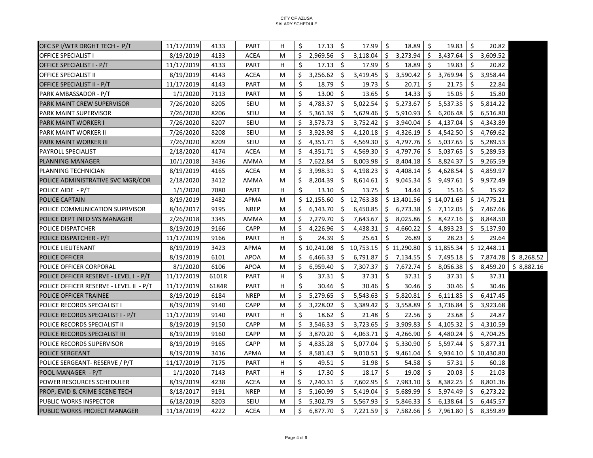| OFC SP I/WTR DRGHT TECH - P/T           | 11/17/2019 | 4133  | <b>PART</b> | H | Ś. | 17.13       | \$  | 17.99       | Ŝ.      | 18.89       | Ŝ.  | 19.83       | Ŝ.  | 20.82       |            |
|-----------------------------------------|------------|-------|-------------|---|----|-------------|-----|-------------|---------|-------------|-----|-------------|-----|-------------|------------|
| <b>OFFICE SPECIALIST I</b>              | 8/19/2019  | 4133  | <b>ACEA</b> | M | Ś. | 2,969.56    | \$  | 3.118.04    | Ŝ.      | 3,273.94    | Ŝ.  | 3,437.64    | Ŝ.  | 3.609.52    |            |
| OFFICE SPECIALIST I - P/T               | 11/17/2019 | 4133  | <b>PART</b> | H | Ś. | 17.13       | Ŝ.  | 17.99       | Ŝ.      | 18.89       | Ś.  | 19.83       | Ŝ.  | 20.82       |            |
| <b>OFFICE SPECIALIST II</b>             | 8/19/2019  | 4143  | <b>ACEA</b> | M | Ś. | 3,256.62    | \$  | 3,419.45    | \$      | 3,590.42    | \$  | 3,769.94    | \$  | 3,958.44    |            |
| OFFICE SPECIALIST II - P/T              | 11/17/2019 | 4143  | <b>PART</b> | M | \$ | 18.79       | Ŝ.  | 19.73       | Ŝ.      | 20.71       | Ś.  | 21.75       | Ŝ.  | 22.84       |            |
| PARK AMBASSADOR - P/T                   | 1/1/2020   | 7113  | <b>PART</b> | M | Ś  | 13.00       | Ŝ.  | 13.65       | Ŝ.      | 14.33       | Ŝ.  | 15.05       | Ŝ.  | 15.80       |            |
| PARK MAINT CREW SUPERVISOR              | 7/26/2020  | 8205  | <b>SEIU</b> | M | Ś. | 4,783.37    | Ŝ.  | 5,022.54    | Ŝ.      | 5,273.67    |     | \$5,537.35  | Ŝ.  | 5,814.22    |            |
| PARK MAINT SUPERVISOR                   | 7/26/2020  | 8206  | SEIU        | M | Ŝ. | 5,361.39    | Ŝ.  | 5,629.46    | Ŝ.      | 5,910.93    | Ŝ.  | 6,206.48    | \$  | 6,516.80    |            |
| <b>PARK MAINT WORKER I</b>              | 7/26/2020  | 8207  | SEIU        | M | Ŝ. | 3,573.73    | Ŝ.  | 3,752.42    | Ŝ.      | 3,940.04    | \$  | 4,137.04    | \$  | 4,343.89    |            |
| PARK MAINT WORKER II                    | 7/26/2020  | 8208  | SEIU        | M | Ŝ. | 3,923.98    | Ŝ.  | 4,120.18    | \$      | 4,326.19    | \$  | 4,542.50    | \$  | 4,769.62    |            |
| <b>PARK MAINT WORKER III</b>            | 7/26/2020  | 8209  | SEIU        | M | Ś. | 4,351.71    | \$  | 4,569.30    | \$      | 4,797.76    | \$  | 5,037.65    | \$  | 5,289.53    |            |
| PAYROLL SPECIALIST                      | 2/18/2020  | 4174  | <b>ACEA</b> | M | Ŝ. | 4,351.71    | Ŝ.  | 4,569.30    | Ŝ.      | 4,797.76    | \$  | 5,037.65    | \$  | 5,289.53    |            |
| <b>PLANNING MANAGER</b>                 | 10/1/2018  | 3436  | <b>AMMA</b> | M | Ś. | 7,622.84    | Ŝ.  | 8,003.98    | Ŝ.      | 8,404.18    | Ŝ.  | 8,824.37    | \$  | 9,265.59    |            |
| PLANNING TECHNICIAN                     | 8/19/2019  | 4165  | <b>ACEA</b> | M | Ŝ. | 3,998.31    | Ŝ.  | 4,198.23    | Ŝ.      | 4,408.14    | Ŝ.  | 4,628.54    | \$  | 4,859.97    |            |
| POLICE ADMINISTRATIVE SVC MGR/COR       | 2/18/2020  | 3412  | AMMA        | M | Ś. | 8,204.39    | Ŝ.  | 8,614.61    | Ŝ.      | 9,045.34    | Ŝ.  | 9,497.61    | S.  | 9,972.49    |            |
| POLICE AIDE - P/T                       | 1/1/2020   | 7080  | <b>PART</b> | H | Ś  | 13.10       | Ŝ.  | 13.75       | Ś       | 14.44       | Ś   | 15.16       | Ŝ.  | 15.92       |            |
| <b>POLICE CAPTAIN</b>                   | 8/19/2019  | 3482  | APMA        | M |    | \$12,155.60 |     | \$12,763.38 |         | \$13,401.56 |     | \$14,071.63 |     | \$14,775.21 |            |
| POLICE COMMUNICATION SUPRVISOR          | 8/16/2017  | 9195  | <b>NREP</b> | M | Ŝ. | 6,143.70    | Ŝ.  | 6,450.85    | Ŝ.      | 6,773.38    | Ŝ.  | 7,112.05    | \$  | 7,467.66    |            |
| POLICE DEPT INFO SYS MANAGER            | 2/26/2018  | 3345  | AMMA        | M | Ŝ. | 7,279.70    | Ŝ.  | 7,643.67    | \$      | 8,025.86    | \$  | 8,427.16    | \$  | 8,848.50    |            |
| POLICE DISPATCHER                       | 8/19/2019  | 9166  | <b>CAPP</b> | M | \$ | 4,226.96    | \$  | 4,438.31    | Ŝ.      | 4,660.22    | Ŝ.  | 4,893.23    | \$  | 5,137.90    |            |
| POLICE DISPATCHER - P/T                 | 11/17/2019 | 9166  | <b>PART</b> | н | Ś. | 24.39       | Ŝ.  | 25.61       | Ŝ.      | 26.89       | Ś.  | 28.23       | Ŝ.  | 29.64       |            |
| POLICE LIEUTENANT                       | 8/19/2019  | 3423  | APMA        | M |    | \$10,241.08 | \$  | 10,753.15   |         | \$11,290.80 |     | \$11,855.34 |     | \$12,448.11 |            |
| <b>POLICE OFFICER</b>                   | 8/19/2019  | 6101  | <b>APOA</b> | M | Ŝ. | 6,466.33    | Ŝ.  | 6,791.87    | Ŝ.      | 7,134.55    |     | \$7,495.18  | \$  | 7,874.78    | \$8,268.52 |
| POLICE OFFICER CORPORAL                 | 8/1/2020   | 6106  | <b>APOA</b> | M | Ś. | 6,959.40    | Ŝ.  | 7,307.37    | \$      | 7,672.74    | Ś.  | 8,056.38    | S.  | 8,459.20    | \$8,882.16 |
| POLICE OFFICER RESERVE - LEVEL I - P/T  | 11/17/2019 | 6101R | <b>PART</b> | H | \$ | 37.31       | Ŝ.  | 37.31       | Ŝ.      | 37.31       | Ŝ.  | 37.31       | Ŝ.  | 37.31       |            |
| POLICE OFFICER RESERVE - LEVEL II - P/T | 11/17/2019 | 6184R | <b>PART</b> | н | Ś. | 30.46       | \$  | 30.46       | \$      | 30.46       | Ŝ.  | 30.46       | Ŝ.  | 30.46       |            |
| POLICE OFFICER TRAINEE                  | 8/19/2019  | 6184  | <b>NREP</b> | M | Ŝ. | 5,279.65    | \$  | 5,543.63    | \$      | 5,820.81    | Ś.  | 6,111.85    | \$  | 6,417.45    |            |
| POLICE RECORDS SPECIALIST I             | 8/19/2019  | 9140  | <b>CAPP</b> | M | \$ | 3,228.02    | \$  | 3,389.42    | Ŝ.      | 3,558.89    | \$  | 3,736.84    | \$  | 3,923.68    |            |
| POLICE RECORDS SPECIALIST I - P/T       | 11/17/2019 | 9140  | <b>PART</b> | н | Ś  | 18.62       | \$  | 21.48       | Ŝ.      | 22.56       | \$  | 23.68       | Ŝ.  | 24.87       |            |
| POLICE RECORDS SPECIALIST II            | 8/19/2019  | 9150  | <b>CAPP</b> | M | Ŝ. | 3,546.33    | \$  | 3,723.65    | \$      | 3,909.83    | Ŝ.  | 4,105.32    | \$  | 4,310.59    |            |
| POLICE RECORDS SPECIALIST III           | 8/19/2019  | 9160  | <b>CAPP</b> | M | \$ | 3,870.20    | S.  | 4,063.71    | \$      | 4,266.90    | \$. | 4,480.24    | \$. | 4,704.25    |            |
| POLICE RECORDS SUPERVISOR               | 8/19/2019  | 9165  | CAPP        | M | Ŝ. | 4,835.28    | Ŝ.  | 5,077.04    | Ŝ.      | 5,330.90    | Ŝ.  | 5,597.44    | Ŝ.  | 5,877.31    |            |
| <b>POLICE SERGEANT</b>                  | 8/19/2019  | 3416  | APMA        | M | Ś. | 8,581.43    | Ŝ.  | 9,010.51    | \$      | 9,461.04    | Ŝ.  | 9,934.10    |     | \$10,430.80 |            |
| POLICE SERGEANT- RESERVE / P/T          | 11/17/2019 | 7175  | <b>PART</b> | н | \$ | 49.51       | Ŝ.  | 51.98       | Ŝ.      | 54.58       | Ŝ.  | 57.31       | Ŝ.  | 60.18       |            |
| POOL MANAGER - P/T                      | 1/1/2020   | 7143  | <b>PART</b> | н | Ś. | 17.30       | Ŝ.  | 18.17       | \$      | 19.08       | Ŝ.  | 20.03       | Ŝ.  | 21.03       |            |
| POWER RESOURCES SCHEDULER               | 8/19/2019  | 4238  | <b>ACEA</b> | M | \$ | 7,240.31    | \$  | 7,602.95    | \$      | 7,983.10    | \$. | 8,382.25    | \$  | 8,801.36    |            |
| PROP, EVID & CRIME SCENE TECH           | 8/18/2017  | 9191  | <b>NREP</b> | M | Ŝ. | 5,160.99    | Ŝ.  | 5,419.04    | Ŝ.      | 5,689.99    | \$. | 5,974.49    | \$  | 6,273.22    |            |
| PUBLIC WORKS INSPECTOR                  | 6/18/2019  | 8203  | SEIU        | M | Ŝ. | 5,302.79    | -\$ | 5,567.93    | \$      | 5,846.33    | \$. | 6,138.64    | \$  | 6,445.57    |            |
| <b>PUBLIC WORKS PROJECT MANAGER</b>     | 11/18/2019 | 4222  | <b>ACEA</b> | M | \$ | 6,877.70    | \$  | 7,221.59    | $\zeta$ | 7,582.66    | \$  | 7,961.80    | \$  | 8,359.89    |            |

## CITY OF AZUSA SALARY SCHEDULE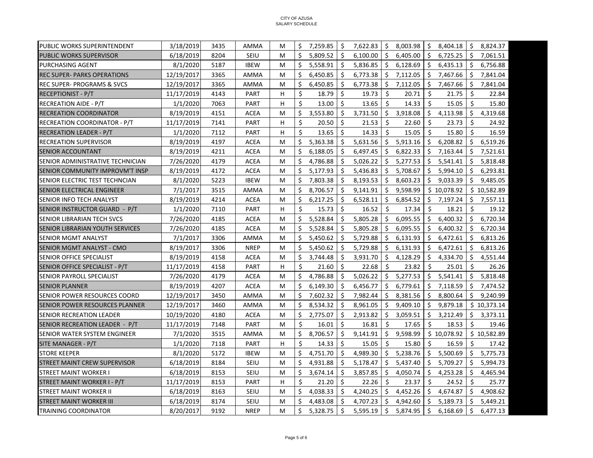| <b>PUBLIC WORKS SUPERINTENDENT</b><br>3/18/2019<br>3435<br>Ś.<br>7,259.85<br>-Ś<br>7,622.83<br>S.<br>8,003.98<br>\$3,404.18<br>Ŝ.<br>AMMA<br>M<br>6/18/2019<br>8204<br>SEIU<br>Ś.<br>5,809.52<br>Ŝ.<br>\$<br><b>PUBLIC WORKS SUPERVISOR</b><br>M<br>6,100.00<br>6,405.00<br>\$<br>6,725.25<br>\$<br>\$<br><b>PURCHASING AGENT</b><br>8/1/2020<br>5187<br><b>IBEW</b><br>Ś.<br>5,558.91<br>Ŝ.<br>5,836.85<br>Ŝ.<br>6,128.69<br>6,435.13<br>Ŝ.<br>M<br>Ś.<br>Ŝ.<br>\$<br>Ś.<br>12/19/2017<br>Ŝ.<br>7,112.05<br>7,467.66<br><b>REC SUPER- PARKS OPERATIONS</b><br>3365<br>AMMA<br>M<br>6,450.85<br>6,773.38<br>Ś.<br>\$<br><b>REC SUPER- PROGRAMS &amp; SVCS</b><br>12/19/2017<br>3365<br>6,450.85<br>Ŝ.<br>6,773.38<br>Ŝ.<br>7,112.05<br>Ŝ.<br>AMMA<br>7,467.66<br>M<br>\$<br>Ŝ.<br>\$<br>\$<br>19.73<br>20.71<br>Ŝ.<br><b>RECEPTIONIST - P/T</b><br>11/17/2019<br>4143<br><b>PART</b><br>H<br>18.79<br>21.75<br>\$<br>Ś.<br>Ŝ.<br>\$<br>\$<br>7063<br><b>PART</b><br>13.00<br>13.65<br>14.33<br>15.05<br><b>RECREATION AIDE - P/T</b><br>1/1/2020<br>н<br>8/19/2019<br>Ś.<br>3,553.80<br>Ŝ.<br>3,731.50<br>\$<br>3,918.08<br>\$.<br>\$<br><b>RECREATION COORDINATOR</b><br>4151<br><b>ACEA</b><br>M<br>4,113.98<br>Ś.<br>Ŝ.<br>\$<br>21.53<br>Ŝ.<br>Ŝ.<br>11/17/2019<br>7141<br><b>PART</b><br>н<br>20.50<br>22.60<br>23.73<br>RECREATION COORDINATOR - P/T<br>\$<br>Ŝ.<br>\$<br>\$<br>1/1/2020<br>7112<br>н<br>14.33<br>15.05<br>Ŝ.<br>15.80<br><b>PART</b><br>13.65<br>RECREATION LEADER - P/T<br>8/19/2019<br><b>ACEA</b><br>5,363.38<br>\$<br>5,631.56<br>Ŝ.<br>5,913.16<br>\$<br>6,208.82<br>\$<br><b>RECREATION SUPERVISOR</b><br>4197<br>Ŝ.<br>M<br>Ś.<br>\$<br>8/19/2019<br>4211<br><b>ACEA</b><br>6,188.05<br>Ŝ.<br>6,497.45<br>Ŝ.<br>6,822.33<br>7,163.44<br>Ŝ.<br>M<br>ISENIOR ACCOUNTANT<br>\$<br>\$<br>Ŝ.<br>5,277.53<br>\$<br>\$<br>SENIOR ADMINISTRATIVE TECHNICIAN<br>7/26/2020<br>4179<br><b>ACEA</b><br>M<br>4,786.88<br>5,026.22<br>5,541.41<br>Ś.<br>Ŝ.<br>8/19/2019<br>4172<br><b>ACEA</b><br>5,177.93<br>Ŝ.<br>5,436.83<br>S.<br>5,708.67<br>5,994.10<br>Ŝ.<br>SENIOR COMMUNITY IMPROVM'T INSP<br>M<br>Ś.<br>Ŝ.<br>Ŝ.<br>8/1/2020<br>5223<br><b>IBEW</b><br>7,803.38<br>Ŝ.<br>8,193.53<br>8,603.23<br>9,033.39<br>Ś<br>SENIOR ELECTRIC TEST TECHNCIAN<br>M<br>\$<br>3515<br>8,706.57<br>-\$<br>9,141.91<br>Ŝ.<br>9,598.99<br>\$10,078.92<br>\$10,582.89<br><b>SENIOR ELECTRICAL ENGINEER</b><br>7/1/2017<br>AMMA<br>м<br>\$<br>-\$<br>SENIOR INFO TECH ANALYST<br>8/19/2019<br>4214<br><b>ACEA</b><br>M<br>6,217.25<br>6,528.11<br>S.<br>6,854.52<br>\$<br>7,197.24<br>\$<br>\$<br>\$<br>Ŝ.<br>Ŝ.<br>\$<br>н<br>15.73<br>16.52<br>17.34<br>18.21<br>SENIOR INSTRUCTOR GUARD - P/T<br>1/1/2020<br>7110<br>PART<br>Ŝ.<br>Ś.<br>7/26/2020<br>4185<br>Ś.<br>5,528.84<br>5,805.28<br>Ŝ.<br>6,095.55<br>Ŝ.<br>6,400.32<br><b>ACEA</b><br>SENIOR LIBRARIAN TECH SVCS<br>M<br>7/26/2020<br>4185<br><b>ACEA</b><br>Ŝ.<br>5,528.84<br>S.<br>5,805.28<br>S.<br>6,095.55<br>S.<br>6,400.32<br>\$<br>SENIOR LIBRARIAN YOUTH SERVICES<br>м<br>3306<br>Ś<br>Ŝ.<br>\$<br>6,131.93<br>\$<br><b>SENIOR MGMT ANALYST</b><br>7/1/2017<br>AMMA<br>5,450.62<br>5,729.88<br>6,472.61<br>\$<br>М<br>\$<br>-\$<br>\$<br>8/19/2017<br>3306<br><b>NREP</b><br>5,450.62<br>5,729.88<br>S.<br>6,131.93<br>6,472.61<br>\$<br>SENIOR MGMT ANALYST - CMO<br>M<br>Ś.<br>Ś.<br>8/19/2019<br>3,744.48<br>Ŝ.<br>4,128.29<br>\$<br>Ŝ.<br><b>SENIOR OFFICE SPECIALIST</b><br>4158<br>ACEA<br>3,931.70<br>4,334.70<br>M<br>\$<br>Ŝ.<br>Ŝ.<br>Ŝ.<br>\$<br>11/17/2019<br>4158<br><b>PART</b><br>21.60<br>22.68<br>23.82<br>25.01<br>SENIOR OFFICE SPECIALIST - P/T<br>н<br>\$<br>4179<br>4,786.88<br>Ŝ.<br>5,026.22<br>\$<br>5,277.53<br>\$<br>5,541.41<br>Ŝ.<br>SENIOR PAYROLL SPECIALIST<br>7/26/2020<br>ACEA<br>м<br>\$<br>6,149.30<br>-\$<br>\$<br>6,779.61<br>\$<br>\$<br>8/19/2019<br>4207<br>ACEA<br>6,456.77<br>7,118.59<br><b>SENIOR PLANNER</b><br>M<br>\$<br>-\$<br>12/19/2017<br>3450<br>7,602.32<br>7,982.44<br>-\$<br>8,381.56<br>\$<br>8,800.64<br>\$.<br>SENIOR POWER RESOURCES COORD<br>AMMA<br>M<br>Ś.<br>8,534.32<br>\$<br>\$<br>9,409.10<br>\$<br>9,879.18<br>12/19/2017<br>3460<br>AMMA<br>8,961.05<br>\$10,373.14<br>SENIOR POWER RESOURCES PLANNER<br>м<br>\$<br><b>SENIOR RECREATION LEADER</b><br>10/19/2020<br>4180<br><b>ACEA</b><br>\$<br>2,775.07<br>2,913.82<br>\$<br>3,059.51<br>S.<br>3,212.49<br>\$<br>M<br>\$<br>\$<br>\$<br>Ŝ.<br>\$<br>16.01<br>SENIOR RECREATION LEADER - P/T<br>11/17/2019<br>7148<br><b>PART</b><br>M<br>16.81<br>17.65<br>18.53<br>Ś.<br>Ś.<br>Ŝ.<br>SENIOR WATER SYSTEM ENGINEER<br>7/1/2020<br>3515<br><b>AMMA</b><br>8,706.57<br>9,141.91<br>9,598.99<br>\$10,078.92<br>\$10,582.89<br>M<br>$\mathsf{\hat{S}}$<br>Ŝ.<br>Ŝ.<br>Ŝ.<br>Ŝ.<br>1/1/2020<br>7118<br><b>PART</b><br>н<br>14.33<br>15.05<br>15.80<br>16.59<br>SITE MANAGER - P/T<br>Ś.<br>8/1/2020<br>4,751.70<br>-Ś<br>4.989.30<br>Ŝ.<br>5,238.76<br>Ŝ.<br>5,500.69<br>Ś.<br><b>STORE KEEPER</b><br>5172<br><b>IBEW</b><br>M<br>SEIU<br>Ś.<br>Ŝ.<br>5,709.27<br>6/18/2019<br>8184<br>4,931.88<br>Ŝ.<br>5,178.47<br>5,437.40<br>\$<br>Ŝ.<br><b>STREET MAINT CREW SUPERVISOR</b><br>м<br>Ś.<br>Ŝ.<br><b>STREET MAINT WORKER I</b><br>6/18/2019<br>8153<br><b>SEIU</b><br>3.674.14<br>3,857.85<br>\$<br>4.050.74<br>\$<br>4,253.28<br>Ŝ.<br>M<br>Ś.<br>Ŝ.<br>Ŝ.<br>Ŝ.<br>Ŝ.<br><b>STREET MAINT WORKER I - P/T</b><br>11/17/2019<br>8153<br><b>PART</b><br>H<br>21.20<br>22.26<br>23.37<br>24.52<br>Ś.<br>4,038.33<br>Ŝ.<br>4,240.25<br>Ŝ.<br>4,452.26<br>Ŝ.<br>4,674.87<br>Ś.<br>6/18/2019<br>8163<br>SEIU<br>STREET MAINT WORKER II<br>м<br>6/18/2019<br>8174<br>SEIU<br>Ś.<br>4,483.08<br>Ŝ.<br>4,707.23<br>Ŝ.<br>4,942.60<br>\$<br>5,189.73<br>Ŝ.<br><b>STREET MAINT WORKER III</b><br>м<br>\$<br>8/20/2017<br>9192<br><b>NREP</b><br>\$<br>5,328.75<br>5,595.19<br>\$<br>5,874.95<br>\$<br>6,168.69<br>\$<br>M<br><b>TRAINING COORDINATOR</b> |  |  |  |  |  |  |  |          |
|------------------------------------------------------------------------------------------------------------------------------------------------------------------------------------------------------------------------------------------------------------------------------------------------------------------------------------------------------------------------------------------------------------------------------------------------------------------------------------------------------------------------------------------------------------------------------------------------------------------------------------------------------------------------------------------------------------------------------------------------------------------------------------------------------------------------------------------------------------------------------------------------------------------------------------------------------------------------------------------------------------------------------------------------------------------------------------------------------------------------------------------------------------------------------------------------------------------------------------------------------------------------------------------------------------------------------------------------------------------------------------------------------------------------------------------------------------------------------------------------------------------------------------------------------------------------------------------------------------------------------------------------------------------------------------------------------------------------------------------------------------------------------------------------------------------------------------------------------------------------------------------------------------------------------------------------------------------------------------------------------------------------------------------------------------------------------------------------------------------------------------------------------------------------------------------------------------------------------------------------------------------------------------------------------------------------------------------------------------------------------------------------------------------------------------------------------------------------------------------------------------------------------------------------------------------------------------------------------------------------------------------------------------------------------------------------------------------------------------------------------------------------------------------------------------------------------------------------------------------------------------------------------------------------------------------------------------------------------------------------------------------------------------------------------------------------------------------------------------------------------------------------------------------------------------------------------------------------------------------------------------------------------------------------------------------------------------------------------------------------------------------------------------------------------------------------------------------------------------------------------------------------------------------------------------------------------------------------------------------------------------------------------------------------------------------------------------------------------------------------------------------------------------------------------------------------------------------------------------------------------------------------------------------------------------------------------------------------------------------------------------------------------------------------------------------------------------------------------------------------------------------------------------------------------------------------------------------------------------------------------------------------------------------------------------------------------------------------------------------------------------------------------------------------------------------------------------------------------------------------------------------------------------------------------------------------------------------------------------------------------------------------------------------------------------------------------------------------------------------------------------------------------------------------------------------------------------------------------------------------------------------------------------------------------------------------------------------------------------------------------------------------------------------------------------------------------------------------------------------------------------------------------------------------------------------------------------------------------------------------------------------------------------------------------------------------------------------------------------------------------------------------------------------------------------------------------------------------------------------------------------------------------------------------------------------------------------------------------------------------------------------------------------------------------------------------------------------------------------------------------------------------------------------------------------------------------------------------------------------------------------------------------------------------------------------------|--|--|--|--|--|--|--|----------|
|                                                                                                                                                                                                                                                                                                                                                                                                                                                                                                                                                                                                                                                                                                                                                                                                                                                                                                                                                                                                                                                                                                                                                                                                                                                                                                                                                                                                                                                                                                                                                                                                                                                                                                                                                                                                                                                                                                                                                                                                                                                                                                                                                                                                                                                                                                                                                                                                                                                                                                                                                                                                                                                                                                                                                                                                                                                                                                                                                                                                                                                                                                                                                                                                                                                                                                                                                                                                                                                                                                                                                                                                                                                                                                                                                                                                                                                                                                                                                                                                                                                                                                                                                                                                                                                                                                                                                                                                                                                                                                                                                                                                                                                                                                                                                                                                                                                                                                                                                                                                                                                                                                                                                                                                                                                                                                                                                                                                                                                                                                                                                                                                                                                                                                                                                                                                                                                                                                                                                |  |  |  |  |  |  |  | 8,824.37 |
|                                                                                                                                                                                                                                                                                                                                                                                                                                                                                                                                                                                                                                                                                                                                                                                                                                                                                                                                                                                                                                                                                                                                                                                                                                                                                                                                                                                                                                                                                                                                                                                                                                                                                                                                                                                                                                                                                                                                                                                                                                                                                                                                                                                                                                                                                                                                                                                                                                                                                                                                                                                                                                                                                                                                                                                                                                                                                                                                                                                                                                                                                                                                                                                                                                                                                                                                                                                                                                                                                                                                                                                                                                                                                                                                                                                                                                                                                                                                                                                                                                                                                                                                                                                                                                                                                                                                                                                                                                                                                                                                                                                                                                                                                                                                                                                                                                                                                                                                                                                                                                                                                                                                                                                                                                                                                                                                                                                                                                                                                                                                                                                                                                                                                                                                                                                                                                                                                                                                                |  |  |  |  |  |  |  | 7,061.51 |
|                                                                                                                                                                                                                                                                                                                                                                                                                                                                                                                                                                                                                                                                                                                                                                                                                                                                                                                                                                                                                                                                                                                                                                                                                                                                                                                                                                                                                                                                                                                                                                                                                                                                                                                                                                                                                                                                                                                                                                                                                                                                                                                                                                                                                                                                                                                                                                                                                                                                                                                                                                                                                                                                                                                                                                                                                                                                                                                                                                                                                                                                                                                                                                                                                                                                                                                                                                                                                                                                                                                                                                                                                                                                                                                                                                                                                                                                                                                                                                                                                                                                                                                                                                                                                                                                                                                                                                                                                                                                                                                                                                                                                                                                                                                                                                                                                                                                                                                                                                                                                                                                                                                                                                                                                                                                                                                                                                                                                                                                                                                                                                                                                                                                                                                                                                                                                                                                                                                                                |  |  |  |  |  |  |  | 6,756.88 |
|                                                                                                                                                                                                                                                                                                                                                                                                                                                                                                                                                                                                                                                                                                                                                                                                                                                                                                                                                                                                                                                                                                                                                                                                                                                                                                                                                                                                                                                                                                                                                                                                                                                                                                                                                                                                                                                                                                                                                                                                                                                                                                                                                                                                                                                                                                                                                                                                                                                                                                                                                                                                                                                                                                                                                                                                                                                                                                                                                                                                                                                                                                                                                                                                                                                                                                                                                                                                                                                                                                                                                                                                                                                                                                                                                                                                                                                                                                                                                                                                                                                                                                                                                                                                                                                                                                                                                                                                                                                                                                                                                                                                                                                                                                                                                                                                                                                                                                                                                                                                                                                                                                                                                                                                                                                                                                                                                                                                                                                                                                                                                                                                                                                                                                                                                                                                                                                                                                                                                |  |  |  |  |  |  |  | 7,841.04 |
|                                                                                                                                                                                                                                                                                                                                                                                                                                                                                                                                                                                                                                                                                                                                                                                                                                                                                                                                                                                                                                                                                                                                                                                                                                                                                                                                                                                                                                                                                                                                                                                                                                                                                                                                                                                                                                                                                                                                                                                                                                                                                                                                                                                                                                                                                                                                                                                                                                                                                                                                                                                                                                                                                                                                                                                                                                                                                                                                                                                                                                                                                                                                                                                                                                                                                                                                                                                                                                                                                                                                                                                                                                                                                                                                                                                                                                                                                                                                                                                                                                                                                                                                                                                                                                                                                                                                                                                                                                                                                                                                                                                                                                                                                                                                                                                                                                                                                                                                                                                                                                                                                                                                                                                                                                                                                                                                                                                                                                                                                                                                                                                                                                                                                                                                                                                                                                                                                                                                                |  |  |  |  |  |  |  | 7,841.04 |
|                                                                                                                                                                                                                                                                                                                                                                                                                                                                                                                                                                                                                                                                                                                                                                                                                                                                                                                                                                                                                                                                                                                                                                                                                                                                                                                                                                                                                                                                                                                                                                                                                                                                                                                                                                                                                                                                                                                                                                                                                                                                                                                                                                                                                                                                                                                                                                                                                                                                                                                                                                                                                                                                                                                                                                                                                                                                                                                                                                                                                                                                                                                                                                                                                                                                                                                                                                                                                                                                                                                                                                                                                                                                                                                                                                                                                                                                                                                                                                                                                                                                                                                                                                                                                                                                                                                                                                                                                                                                                                                                                                                                                                                                                                                                                                                                                                                                                                                                                                                                                                                                                                                                                                                                                                                                                                                                                                                                                                                                                                                                                                                                                                                                                                                                                                                                                                                                                                                                                |  |  |  |  |  |  |  | 22.84    |
|                                                                                                                                                                                                                                                                                                                                                                                                                                                                                                                                                                                                                                                                                                                                                                                                                                                                                                                                                                                                                                                                                                                                                                                                                                                                                                                                                                                                                                                                                                                                                                                                                                                                                                                                                                                                                                                                                                                                                                                                                                                                                                                                                                                                                                                                                                                                                                                                                                                                                                                                                                                                                                                                                                                                                                                                                                                                                                                                                                                                                                                                                                                                                                                                                                                                                                                                                                                                                                                                                                                                                                                                                                                                                                                                                                                                                                                                                                                                                                                                                                                                                                                                                                                                                                                                                                                                                                                                                                                                                                                                                                                                                                                                                                                                                                                                                                                                                                                                                                                                                                                                                                                                                                                                                                                                                                                                                                                                                                                                                                                                                                                                                                                                                                                                                                                                                                                                                                                                                |  |  |  |  |  |  |  | 15.80    |
|                                                                                                                                                                                                                                                                                                                                                                                                                                                                                                                                                                                                                                                                                                                                                                                                                                                                                                                                                                                                                                                                                                                                                                                                                                                                                                                                                                                                                                                                                                                                                                                                                                                                                                                                                                                                                                                                                                                                                                                                                                                                                                                                                                                                                                                                                                                                                                                                                                                                                                                                                                                                                                                                                                                                                                                                                                                                                                                                                                                                                                                                                                                                                                                                                                                                                                                                                                                                                                                                                                                                                                                                                                                                                                                                                                                                                                                                                                                                                                                                                                                                                                                                                                                                                                                                                                                                                                                                                                                                                                                                                                                                                                                                                                                                                                                                                                                                                                                                                                                                                                                                                                                                                                                                                                                                                                                                                                                                                                                                                                                                                                                                                                                                                                                                                                                                                                                                                                                                                |  |  |  |  |  |  |  | 4,319.68 |
|                                                                                                                                                                                                                                                                                                                                                                                                                                                                                                                                                                                                                                                                                                                                                                                                                                                                                                                                                                                                                                                                                                                                                                                                                                                                                                                                                                                                                                                                                                                                                                                                                                                                                                                                                                                                                                                                                                                                                                                                                                                                                                                                                                                                                                                                                                                                                                                                                                                                                                                                                                                                                                                                                                                                                                                                                                                                                                                                                                                                                                                                                                                                                                                                                                                                                                                                                                                                                                                                                                                                                                                                                                                                                                                                                                                                                                                                                                                                                                                                                                                                                                                                                                                                                                                                                                                                                                                                                                                                                                                                                                                                                                                                                                                                                                                                                                                                                                                                                                                                                                                                                                                                                                                                                                                                                                                                                                                                                                                                                                                                                                                                                                                                                                                                                                                                                                                                                                                                                |  |  |  |  |  |  |  | 24.92    |
|                                                                                                                                                                                                                                                                                                                                                                                                                                                                                                                                                                                                                                                                                                                                                                                                                                                                                                                                                                                                                                                                                                                                                                                                                                                                                                                                                                                                                                                                                                                                                                                                                                                                                                                                                                                                                                                                                                                                                                                                                                                                                                                                                                                                                                                                                                                                                                                                                                                                                                                                                                                                                                                                                                                                                                                                                                                                                                                                                                                                                                                                                                                                                                                                                                                                                                                                                                                                                                                                                                                                                                                                                                                                                                                                                                                                                                                                                                                                                                                                                                                                                                                                                                                                                                                                                                                                                                                                                                                                                                                                                                                                                                                                                                                                                                                                                                                                                                                                                                                                                                                                                                                                                                                                                                                                                                                                                                                                                                                                                                                                                                                                                                                                                                                                                                                                                                                                                                                                                |  |  |  |  |  |  |  | 16.59    |
|                                                                                                                                                                                                                                                                                                                                                                                                                                                                                                                                                                                                                                                                                                                                                                                                                                                                                                                                                                                                                                                                                                                                                                                                                                                                                                                                                                                                                                                                                                                                                                                                                                                                                                                                                                                                                                                                                                                                                                                                                                                                                                                                                                                                                                                                                                                                                                                                                                                                                                                                                                                                                                                                                                                                                                                                                                                                                                                                                                                                                                                                                                                                                                                                                                                                                                                                                                                                                                                                                                                                                                                                                                                                                                                                                                                                                                                                                                                                                                                                                                                                                                                                                                                                                                                                                                                                                                                                                                                                                                                                                                                                                                                                                                                                                                                                                                                                                                                                                                                                                                                                                                                                                                                                                                                                                                                                                                                                                                                                                                                                                                                                                                                                                                                                                                                                                                                                                                                                                |  |  |  |  |  |  |  | 6,519.26 |
|                                                                                                                                                                                                                                                                                                                                                                                                                                                                                                                                                                                                                                                                                                                                                                                                                                                                                                                                                                                                                                                                                                                                                                                                                                                                                                                                                                                                                                                                                                                                                                                                                                                                                                                                                                                                                                                                                                                                                                                                                                                                                                                                                                                                                                                                                                                                                                                                                                                                                                                                                                                                                                                                                                                                                                                                                                                                                                                                                                                                                                                                                                                                                                                                                                                                                                                                                                                                                                                                                                                                                                                                                                                                                                                                                                                                                                                                                                                                                                                                                                                                                                                                                                                                                                                                                                                                                                                                                                                                                                                                                                                                                                                                                                                                                                                                                                                                                                                                                                                                                                                                                                                                                                                                                                                                                                                                                                                                                                                                                                                                                                                                                                                                                                                                                                                                                                                                                                                                                |  |  |  |  |  |  |  | 7,521.61 |
|                                                                                                                                                                                                                                                                                                                                                                                                                                                                                                                                                                                                                                                                                                                                                                                                                                                                                                                                                                                                                                                                                                                                                                                                                                                                                                                                                                                                                                                                                                                                                                                                                                                                                                                                                                                                                                                                                                                                                                                                                                                                                                                                                                                                                                                                                                                                                                                                                                                                                                                                                                                                                                                                                                                                                                                                                                                                                                                                                                                                                                                                                                                                                                                                                                                                                                                                                                                                                                                                                                                                                                                                                                                                                                                                                                                                                                                                                                                                                                                                                                                                                                                                                                                                                                                                                                                                                                                                                                                                                                                                                                                                                                                                                                                                                                                                                                                                                                                                                                                                                                                                                                                                                                                                                                                                                                                                                                                                                                                                                                                                                                                                                                                                                                                                                                                                                                                                                                                                                |  |  |  |  |  |  |  | 5,818.48 |
|                                                                                                                                                                                                                                                                                                                                                                                                                                                                                                                                                                                                                                                                                                                                                                                                                                                                                                                                                                                                                                                                                                                                                                                                                                                                                                                                                                                                                                                                                                                                                                                                                                                                                                                                                                                                                                                                                                                                                                                                                                                                                                                                                                                                                                                                                                                                                                                                                                                                                                                                                                                                                                                                                                                                                                                                                                                                                                                                                                                                                                                                                                                                                                                                                                                                                                                                                                                                                                                                                                                                                                                                                                                                                                                                                                                                                                                                                                                                                                                                                                                                                                                                                                                                                                                                                                                                                                                                                                                                                                                                                                                                                                                                                                                                                                                                                                                                                                                                                                                                                                                                                                                                                                                                                                                                                                                                                                                                                                                                                                                                                                                                                                                                                                                                                                                                                                                                                                                                                |  |  |  |  |  |  |  | 6,293.81 |
|                                                                                                                                                                                                                                                                                                                                                                                                                                                                                                                                                                                                                                                                                                                                                                                                                                                                                                                                                                                                                                                                                                                                                                                                                                                                                                                                                                                                                                                                                                                                                                                                                                                                                                                                                                                                                                                                                                                                                                                                                                                                                                                                                                                                                                                                                                                                                                                                                                                                                                                                                                                                                                                                                                                                                                                                                                                                                                                                                                                                                                                                                                                                                                                                                                                                                                                                                                                                                                                                                                                                                                                                                                                                                                                                                                                                                                                                                                                                                                                                                                                                                                                                                                                                                                                                                                                                                                                                                                                                                                                                                                                                                                                                                                                                                                                                                                                                                                                                                                                                                                                                                                                                                                                                                                                                                                                                                                                                                                                                                                                                                                                                                                                                                                                                                                                                                                                                                                                                                |  |  |  |  |  |  |  | 9,485.05 |
|                                                                                                                                                                                                                                                                                                                                                                                                                                                                                                                                                                                                                                                                                                                                                                                                                                                                                                                                                                                                                                                                                                                                                                                                                                                                                                                                                                                                                                                                                                                                                                                                                                                                                                                                                                                                                                                                                                                                                                                                                                                                                                                                                                                                                                                                                                                                                                                                                                                                                                                                                                                                                                                                                                                                                                                                                                                                                                                                                                                                                                                                                                                                                                                                                                                                                                                                                                                                                                                                                                                                                                                                                                                                                                                                                                                                                                                                                                                                                                                                                                                                                                                                                                                                                                                                                                                                                                                                                                                                                                                                                                                                                                                                                                                                                                                                                                                                                                                                                                                                                                                                                                                                                                                                                                                                                                                                                                                                                                                                                                                                                                                                                                                                                                                                                                                                                                                                                                                                                |  |  |  |  |  |  |  |          |
|                                                                                                                                                                                                                                                                                                                                                                                                                                                                                                                                                                                                                                                                                                                                                                                                                                                                                                                                                                                                                                                                                                                                                                                                                                                                                                                                                                                                                                                                                                                                                                                                                                                                                                                                                                                                                                                                                                                                                                                                                                                                                                                                                                                                                                                                                                                                                                                                                                                                                                                                                                                                                                                                                                                                                                                                                                                                                                                                                                                                                                                                                                                                                                                                                                                                                                                                                                                                                                                                                                                                                                                                                                                                                                                                                                                                                                                                                                                                                                                                                                                                                                                                                                                                                                                                                                                                                                                                                                                                                                                                                                                                                                                                                                                                                                                                                                                                                                                                                                                                                                                                                                                                                                                                                                                                                                                                                                                                                                                                                                                                                                                                                                                                                                                                                                                                                                                                                                                                                |  |  |  |  |  |  |  | 7,557.11 |
|                                                                                                                                                                                                                                                                                                                                                                                                                                                                                                                                                                                                                                                                                                                                                                                                                                                                                                                                                                                                                                                                                                                                                                                                                                                                                                                                                                                                                                                                                                                                                                                                                                                                                                                                                                                                                                                                                                                                                                                                                                                                                                                                                                                                                                                                                                                                                                                                                                                                                                                                                                                                                                                                                                                                                                                                                                                                                                                                                                                                                                                                                                                                                                                                                                                                                                                                                                                                                                                                                                                                                                                                                                                                                                                                                                                                                                                                                                                                                                                                                                                                                                                                                                                                                                                                                                                                                                                                                                                                                                                                                                                                                                                                                                                                                                                                                                                                                                                                                                                                                                                                                                                                                                                                                                                                                                                                                                                                                                                                                                                                                                                                                                                                                                                                                                                                                                                                                                                                                |  |  |  |  |  |  |  | 19.12    |
|                                                                                                                                                                                                                                                                                                                                                                                                                                                                                                                                                                                                                                                                                                                                                                                                                                                                                                                                                                                                                                                                                                                                                                                                                                                                                                                                                                                                                                                                                                                                                                                                                                                                                                                                                                                                                                                                                                                                                                                                                                                                                                                                                                                                                                                                                                                                                                                                                                                                                                                                                                                                                                                                                                                                                                                                                                                                                                                                                                                                                                                                                                                                                                                                                                                                                                                                                                                                                                                                                                                                                                                                                                                                                                                                                                                                                                                                                                                                                                                                                                                                                                                                                                                                                                                                                                                                                                                                                                                                                                                                                                                                                                                                                                                                                                                                                                                                                                                                                                                                                                                                                                                                                                                                                                                                                                                                                                                                                                                                                                                                                                                                                                                                                                                                                                                                                                                                                                                                                |  |  |  |  |  |  |  | 6,720.34 |
|                                                                                                                                                                                                                                                                                                                                                                                                                                                                                                                                                                                                                                                                                                                                                                                                                                                                                                                                                                                                                                                                                                                                                                                                                                                                                                                                                                                                                                                                                                                                                                                                                                                                                                                                                                                                                                                                                                                                                                                                                                                                                                                                                                                                                                                                                                                                                                                                                                                                                                                                                                                                                                                                                                                                                                                                                                                                                                                                                                                                                                                                                                                                                                                                                                                                                                                                                                                                                                                                                                                                                                                                                                                                                                                                                                                                                                                                                                                                                                                                                                                                                                                                                                                                                                                                                                                                                                                                                                                                                                                                                                                                                                                                                                                                                                                                                                                                                                                                                                                                                                                                                                                                                                                                                                                                                                                                                                                                                                                                                                                                                                                                                                                                                                                                                                                                                                                                                                                                                |  |  |  |  |  |  |  | 6,720.34 |
|                                                                                                                                                                                                                                                                                                                                                                                                                                                                                                                                                                                                                                                                                                                                                                                                                                                                                                                                                                                                                                                                                                                                                                                                                                                                                                                                                                                                                                                                                                                                                                                                                                                                                                                                                                                                                                                                                                                                                                                                                                                                                                                                                                                                                                                                                                                                                                                                                                                                                                                                                                                                                                                                                                                                                                                                                                                                                                                                                                                                                                                                                                                                                                                                                                                                                                                                                                                                                                                                                                                                                                                                                                                                                                                                                                                                                                                                                                                                                                                                                                                                                                                                                                                                                                                                                                                                                                                                                                                                                                                                                                                                                                                                                                                                                                                                                                                                                                                                                                                                                                                                                                                                                                                                                                                                                                                                                                                                                                                                                                                                                                                                                                                                                                                                                                                                                                                                                                                                                |  |  |  |  |  |  |  | 6,813.26 |
|                                                                                                                                                                                                                                                                                                                                                                                                                                                                                                                                                                                                                                                                                                                                                                                                                                                                                                                                                                                                                                                                                                                                                                                                                                                                                                                                                                                                                                                                                                                                                                                                                                                                                                                                                                                                                                                                                                                                                                                                                                                                                                                                                                                                                                                                                                                                                                                                                                                                                                                                                                                                                                                                                                                                                                                                                                                                                                                                                                                                                                                                                                                                                                                                                                                                                                                                                                                                                                                                                                                                                                                                                                                                                                                                                                                                                                                                                                                                                                                                                                                                                                                                                                                                                                                                                                                                                                                                                                                                                                                                                                                                                                                                                                                                                                                                                                                                                                                                                                                                                                                                                                                                                                                                                                                                                                                                                                                                                                                                                                                                                                                                                                                                                                                                                                                                                                                                                                                                                |  |  |  |  |  |  |  | 6,813.26 |
|                                                                                                                                                                                                                                                                                                                                                                                                                                                                                                                                                                                                                                                                                                                                                                                                                                                                                                                                                                                                                                                                                                                                                                                                                                                                                                                                                                                                                                                                                                                                                                                                                                                                                                                                                                                                                                                                                                                                                                                                                                                                                                                                                                                                                                                                                                                                                                                                                                                                                                                                                                                                                                                                                                                                                                                                                                                                                                                                                                                                                                                                                                                                                                                                                                                                                                                                                                                                                                                                                                                                                                                                                                                                                                                                                                                                                                                                                                                                                                                                                                                                                                                                                                                                                                                                                                                                                                                                                                                                                                                                                                                                                                                                                                                                                                                                                                                                                                                                                                                                                                                                                                                                                                                                                                                                                                                                                                                                                                                                                                                                                                                                                                                                                                                                                                                                                                                                                                                                                |  |  |  |  |  |  |  | 4,551.44 |
|                                                                                                                                                                                                                                                                                                                                                                                                                                                                                                                                                                                                                                                                                                                                                                                                                                                                                                                                                                                                                                                                                                                                                                                                                                                                                                                                                                                                                                                                                                                                                                                                                                                                                                                                                                                                                                                                                                                                                                                                                                                                                                                                                                                                                                                                                                                                                                                                                                                                                                                                                                                                                                                                                                                                                                                                                                                                                                                                                                                                                                                                                                                                                                                                                                                                                                                                                                                                                                                                                                                                                                                                                                                                                                                                                                                                                                                                                                                                                                                                                                                                                                                                                                                                                                                                                                                                                                                                                                                                                                                                                                                                                                                                                                                                                                                                                                                                                                                                                                                                                                                                                                                                                                                                                                                                                                                                                                                                                                                                                                                                                                                                                                                                                                                                                                                                                                                                                                                                                |  |  |  |  |  |  |  | 26.26    |
|                                                                                                                                                                                                                                                                                                                                                                                                                                                                                                                                                                                                                                                                                                                                                                                                                                                                                                                                                                                                                                                                                                                                                                                                                                                                                                                                                                                                                                                                                                                                                                                                                                                                                                                                                                                                                                                                                                                                                                                                                                                                                                                                                                                                                                                                                                                                                                                                                                                                                                                                                                                                                                                                                                                                                                                                                                                                                                                                                                                                                                                                                                                                                                                                                                                                                                                                                                                                                                                                                                                                                                                                                                                                                                                                                                                                                                                                                                                                                                                                                                                                                                                                                                                                                                                                                                                                                                                                                                                                                                                                                                                                                                                                                                                                                                                                                                                                                                                                                                                                                                                                                                                                                                                                                                                                                                                                                                                                                                                                                                                                                                                                                                                                                                                                                                                                                                                                                                                                                |  |  |  |  |  |  |  | 5,818.48 |
|                                                                                                                                                                                                                                                                                                                                                                                                                                                                                                                                                                                                                                                                                                                                                                                                                                                                                                                                                                                                                                                                                                                                                                                                                                                                                                                                                                                                                                                                                                                                                                                                                                                                                                                                                                                                                                                                                                                                                                                                                                                                                                                                                                                                                                                                                                                                                                                                                                                                                                                                                                                                                                                                                                                                                                                                                                                                                                                                                                                                                                                                                                                                                                                                                                                                                                                                                                                                                                                                                                                                                                                                                                                                                                                                                                                                                                                                                                                                                                                                                                                                                                                                                                                                                                                                                                                                                                                                                                                                                                                                                                                                                                                                                                                                                                                                                                                                                                                                                                                                                                                                                                                                                                                                                                                                                                                                                                                                                                                                                                                                                                                                                                                                                                                                                                                                                                                                                                                                                |  |  |  |  |  |  |  | 7,474.52 |
|                                                                                                                                                                                                                                                                                                                                                                                                                                                                                                                                                                                                                                                                                                                                                                                                                                                                                                                                                                                                                                                                                                                                                                                                                                                                                                                                                                                                                                                                                                                                                                                                                                                                                                                                                                                                                                                                                                                                                                                                                                                                                                                                                                                                                                                                                                                                                                                                                                                                                                                                                                                                                                                                                                                                                                                                                                                                                                                                                                                                                                                                                                                                                                                                                                                                                                                                                                                                                                                                                                                                                                                                                                                                                                                                                                                                                                                                                                                                                                                                                                                                                                                                                                                                                                                                                                                                                                                                                                                                                                                                                                                                                                                                                                                                                                                                                                                                                                                                                                                                                                                                                                                                                                                                                                                                                                                                                                                                                                                                                                                                                                                                                                                                                                                                                                                                                                                                                                                                                |  |  |  |  |  |  |  | 9,240.99 |
|                                                                                                                                                                                                                                                                                                                                                                                                                                                                                                                                                                                                                                                                                                                                                                                                                                                                                                                                                                                                                                                                                                                                                                                                                                                                                                                                                                                                                                                                                                                                                                                                                                                                                                                                                                                                                                                                                                                                                                                                                                                                                                                                                                                                                                                                                                                                                                                                                                                                                                                                                                                                                                                                                                                                                                                                                                                                                                                                                                                                                                                                                                                                                                                                                                                                                                                                                                                                                                                                                                                                                                                                                                                                                                                                                                                                                                                                                                                                                                                                                                                                                                                                                                                                                                                                                                                                                                                                                                                                                                                                                                                                                                                                                                                                                                                                                                                                                                                                                                                                                                                                                                                                                                                                                                                                                                                                                                                                                                                                                                                                                                                                                                                                                                                                                                                                                                                                                                                                                |  |  |  |  |  |  |  |          |
|                                                                                                                                                                                                                                                                                                                                                                                                                                                                                                                                                                                                                                                                                                                                                                                                                                                                                                                                                                                                                                                                                                                                                                                                                                                                                                                                                                                                                                                                                                                                                                                                                                                                                                                                                                                                                                                                                                                                                                                                                                                                                                                                                                                                                                                                                                                                                                                                                                                                                                                                                                                                                                                                                                                                                                                                                                                                                                                                                                                                                                                                                                                                                                                                                                                                                                                                                                                                                                                                                                                                                                                                                                                                                                                                                                                                                                                                                                                                                                                                                                                                                                                                                                                                                                                                                                                                                                                                                                                                                                                                                                                                                                                                                                                                                                                                                                                                                                                                                                                                                                                                                                                                                                                                                                                                                                                                                                                                                                                                                                                                                                                                                                                                                                                                                                                                                                                                                                                                                |  |  |  |  |  |  |  | 3,373.11 |
|                                                                                                                                                                                                                                                                                                                                                                                                                                                                                                                                                                                                                                                                                                                                                                                                                                                                                                                                                                                                                                                                                                                                                                                                                                                                                                                                                                                                                                                                                                                                                                                                                                                                                                                                                                                                                                                                                                                                                                                                                                                                                                                                                                                                                                                                                                                                                                                                                                                                                                                                                                                                                                                                                                                                                                                                                                                                                                                                                                                                                                                                                                                                                                                                                                                                                                                                                                                                                                                                                                                                                                                                                                                                                                                                                                                                                                                                                                                                                                                                                                                                                                                                                                                                                                                                                                                                                                                                                                                                                                                                                                                                                                                                                                                                                                                                                                                                                                                                                                                                                                                                                                                                                                                                                                                                                                                                                                                                                                                                                                                                                                                                                                                                                                                                                                                                                                                                                                                                                |  |  |  |  |  |  |  | 19.46    |
|                                                                                                                                                                                                                                                                                                                                                                                                                                                                                                                                                                                                                                                                                                                                                                                                                                                                                                                                                                                                                                                                                                                                                                                                                                                                                                                                                                                                                                                                                                                                                                                                                                                                                                                                                                                                                                                                                                                                                                                                                                                                                                                                                                                                                                                                                                                                                                                                                                                                                                                                                                                                                                                                                                                                                                                                                                                                                                                                                                                                                                                                                                                                                                                                                                                                                                                                                                                                                                                                                                                                                                                                                                                                                                                                                                                                                                                                                                                                                                                                                                                                                                                                                                                                                                                                                                                                                                                                                                                                                                                                                                                                                                                                                                                                                                                                                                                                                                                                                                                                                                                                                                                                                                                                                                                                                                                                                                                                                                                                                                                                                                                                                                                                                                                                                                                                                                                                                                                                                |  |  |  |  |  |  |  |          |
|                                                                                                                                                                                                                                                                                                                                                                                                                                                                                                                                                                                                                                                                                                                                                                                                                                                                                                                                                                                                                                                                                                                                                                                                                                                                                                                                                                                                                                                                                                                                                                                                                                                                                                                                                                                                                                                                                                                                                                                                                                                                                                                                                                                                                                                                                                                                                                                                                                                                                                                                                                                                                                                                                                                                                                                                                                                                                                                                                                                                                                                                                                                                                                                                                                                                                                                                                                                                                                                                                                                                                                                                                                                                                                                                                                                                                                                                                                                                                                                                                                                                                                                                                                                                                                                                                                                                                                                                                                                                                                                                                                                                                                                                                                                                                                                                                                                                                                                                                                                                                                                                                                                                                                                                                                                                                                                                                                                                                                                                                                                                                                                                                                                                                                                                                                                                                                                                                                                                                |  |  |  |  |  |  |  | 17.42    |
|                                                                                                                                                                                                                                                                                                                                                                                                                                                                                                                                                                                                                                                                                                                                                                                                                                                                                                                                                                                                                                                                                                                                                                                                                                                                                                                                                                                                                                                                                                                                                                                                                                                                                                                                                                                                                                                                                                                                                                                                                                                                                                                                                                                                                                                                                                                                                                                                                                                                                                                                                                                                                                                                                                                                                                                                                                                                                                                                                                                                                                                                                                                                                                                                                                                                                                                                                                                                                                                                                                                                                                                                                                                                                                                                                                                                                                                                                                                                                                                                                                                                                                                                                                                                                                                                                                                                                                                                                                                                                                                                                                                                                                                                                                                                                                                                                                                                                                                                                                                                                                                                                                                                                                                                                                                                                                                                                                                                                                                                                                                                                                                                                                                                                                                                                                                                                                                                                                                                                |  |  |  |  |  |  |  | 5,775.73 |
|                                                                                                                                                                                                                                                                                                                                                                                                                                                                                                                                                                                                                                                                                                                                                                                                                                                                                                                                                                                                                                                                                                                                                                                                                                                                                                                                                                                                                                                                                                                                                                                                                                                                                                                                                                                                                                                                                                                                                                                                                                                                                                                                                                                                                                                                                                                                                                                                                                                                                                                                                                                                                                                                                                                                                                                                                                                                                                                                                                                                                                                                                                                                                                                                                                                                                                                                                                                                                                                                                                                                                                                                                                                                                                                                                                                                                                                                                                                                                                                                                                                                                                                                                                                                                                                                                                                                                                                                                                                                                                                                                                                                                                                                                                                                                                                                                                                                                                                                                                                                                                                                                                                                                                                                                                                                                                                                                                                                                                                                                                                                                                                                                                                                                                                                                                                                                                                                                                                                                |  |  |  |  |  |  |  | 5,994.73 |
|                                                                                                                                                                                                                                                                                                                                                                                                                                                                                                                                                                                                                                                                                                                                                                                                                                                                                                                                                                                                                                                                                                                                                                                                                                                                                                                                                                                                                                                                                                                                                                                                                                                                                                                                                                                                                                                                                                                                                                                                                                                                                                                                                                                                                                                                                                                                                                                                                                                                                                                                                                                                                                                                                                                                                                                                                                                                                                                                                                                                                                                                                                                                                                                                                                                                                                                                                                                                                                                                                                                                                                                                                                                                                                                                                                                                                                                                                                                                                                                                                                                                                                                                                                                                                                                                                                                                                                                                                                                                                                                                                                                                                                                                                                                                                                                                                                                                                                                                                                                                                                                                                                                                                                                                                                                                                                                                                                                                                                                                                                                                                                                                                                                                                                                                                                                                                                                                                                                                                |  |  |  |  |  |  |  | 4,465.94 |
|                                                                                                                                                                                                                                                                                                                                                                                                                                                                                                                                                                                                                                                                                                                                                                                                                                                                                                                                                                                                                                                                                                                                                                                                                                                                                                                                                                                                                                                                                                                                                                                                                                                                                                                                                                                                                                                                                                                                                                                                                                                                                                                                                                                                                                                                                                                                                                                                                                                                                                                                                                                                                                                                                                                                                                                                                                                                                                                                                                                                                                                                                                                                                                                                                                                                                                                                                                                                                                                                                                                                                                                                                                                                                                                                                                                                                                                                                                                                                                                                                                                                                                                                                                                                                                                                                                                                                                                                                                                                                                                                                                                                                                                                                                                                                                                                                                                                                                                                                                                                                                                                                                                                                                                                                                                                                                                                                                                                                                                                                                                                                                                                                                                                                                                                                                                                                                                                                                                                                |  |  |  |  |  |  |  | 25.77    |
|                                                                                                                                                                                                                                                                                                                                                                                                                                                                                                                                                                                                                                                                                                                                                                                                                                                                                                                                                                                                                                                                                                                                                                                                                                                                                                                                                                                                                                                                                                                                                                                                                                                                                                                                                                                                                                                                                                                                                                                                                                                                                                                                                                                                                                                                                                                                                                                                                                                                                                                                                                                                                                                                                                                                                                                                                                                                                                                                                                                                                                                                                                                                                                                                                                                                                                                                                                                                                                                                                                                                                                                                                                                                                                                                                                                                                                                                                                                                                                                                                                                                                                                                                                                                                                                                                                                                                                                                                                                                                                                                                                                                                                                                                                                                                                                                                                                                                                                                                                                                                                                                                                                                                                                                                                                                                                                                                                                                                                                                                                                                                                                                                                                                                                                                                                                                                                                                                                                                                |  |  |  |  |  |  |  | 4,908.62 |
|                                                                                                                                                                                                                                                                                                                                                                                                                                                                                                                                                                                                                                                                                                                                                                                                                                                                                                                                                                                                                                                                                                                                                                                                                                                                                                                                                                                                                                                                                                                                                                                                                                                                                                                                                                                                                                                                                                                                                                                                                                                                                                                                                                                                                                                                                                                                                                                                                                                                                                                                                                                                                                                                                                                                                                                                                                                                                                                                                                                                                                                                                                                                                                                                                                                                                                                                                                                                                                                                                                                                                                                                                                                                                                                                                                                                                                                                                                                                                                                                                                                                                                                                                                                                                                                                                                                                                                                                                                                                                                                                                                                                                                                                                                                                                                                                                                                                                                                                                                                                                                                                                                                                                                                                                                                                                                                                                                                                                                                                                                                                                                                                                                                                                                                                                                                                                                                                                                                                                |  |  |  |  |  |  |  | 5,449.21 |
|                                                                                                                                                                                                                                                                                                                                                                                                                                                                                                                                                                                                                                                                                                                                                                                                                                                                                                                                                                                                                                                                                                                                                                                                                                                                                                                                                                                                                                                                                                                                                                                                                                                                                                                                                                                                                                                                                                                                                                                                                                                                                                                                                                                                                                                                                                                                                                                                                                                                                                                                                                                                                                                                                                                                                                                                                                                                                                                                                                                                                                                                                                                                                                                                                                                                                                                                                                                                                                                                                                                                                                                                                                                                                                                                                                                                                                                                                                                                                                                                                                                                                                                                                                                                                                                                                                                                                                                                                                                                                                                                                                                                                                                                                                                                                                                                                                                                                                                                                                                                                                                                                                                                                                                                                                                                                                                                                                                                                                                                                                                                                                                                                                                                                                                                                                                                                                                                                                                                                |  |  |  |  |  |  |  | 6,477.13 |

Page 5 of 6